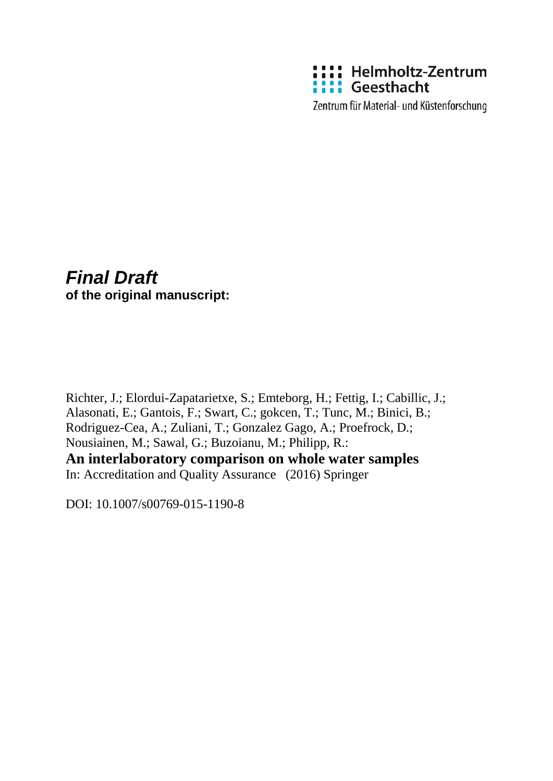

Zentrum für Material- und Küstenforschung

# *Final Draft* **of the original manuscript:**

Richter, J.; Elordui-Zapatarietxe, S.; Emteborg, H.; Fettig, I.; Cabillic, J.; Alasonati, E.; Gantois, F.; Swart, C.; gokcen, T.; Tunc, M.; Binici, B.; Rodriguez-Cea, A.; Zuliani, T.; Gonzalez Gago, A.; Proefrock, D.; Nousiainen, M.; Sawal, G.; Buzoianu, M.; Philipp, R.: **An interlaboratory comparison on whole water samples**

In: Accreditation and Quality Assurance (2016) Springer

DOI: 10.1007/s00769-015-1190-8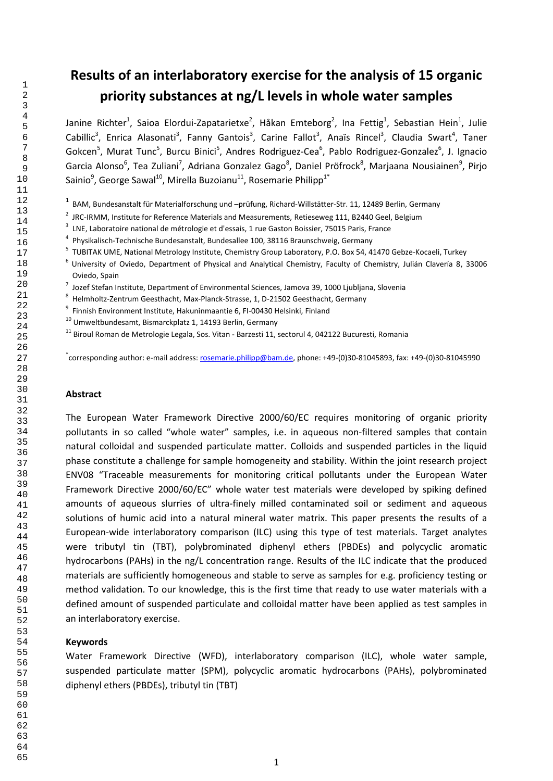# **Results of an interlaboratory exercise for the analysis of 15 organic priority substances at ng/L levels in whole water samples**

Janine Richter<sup>1</sup>, Saioa Elordui-Zapatarietxe<sup>2</sup>, Håkan Emteborg<sup>2</sup>, Ina Fettig<sup>1</sup>, Sebastian Hein<sup>1</sup>, Julie Cabillic<sup>3</sup>, Enrica Alasonati<sup>3</sup>, Fanny Gantois<sup>3</sup>, Carine Fallot<sup>3</sup>, Anaïs Rincel<sup>3</sup>, Claudia Swart<sup>4</sup>, Taner Gokcen<sup>5</sup>, Murat Tunc<sup>5</sup>, Burcu Binici<sup>5</sup>, Andres Rodriguez-Cea<sup>6</sup>, Pablo Rodriguez-Gonzalez<sup>6</sup>, J. Ignacio Garcia Alonso<sup>6</sup>, Tea Zuliani<sup>7</sup>, Adriana Gonzalez Gago<sup>8</sup>, Daniel Pröfrock<sup>8</sup>, Marjaana Nousiainen<sup>9</sup>, Pirjo Sainio<sup>9</sup>, George Sawal<sup>10</sup>, Mirella Buzoianu<sup>11</sup>, Rosemarie Philipp<sup>1\*</sup>

<sup>1</sup> BAM, Bundesanstalt für Materialforschung und –prüfung, Richard-Willstätter-Str. 11, 12489 Berlin, Germany

- <sup>2</sup> JRC-IRMM, Institute for Reference Materials and Measurements, Retieseweg 111, B2440 Geel, Belgium
- <sup>3</sup> LNE, Laboratoire national de métrologie et d'essais, 1 rue Gaston Boissier, 75015 Paris, France
- Physikalisch-Technische Bundesanstalt, Bundesallee 100, 38116 Braunschweig, Germany
- <sup>5</sup> TUBITAK UME, National Metrology Institute, Chemistry Group Laboratory, P.O. Box 54, 41470 Gebze-Kocaeli, Turkey
- University of Oviedo, Department of Physical and Analytical Chemistry, Faculty of Chemistry, Julián Clavería 8, 33006 Oviedo, Spain
- $^7$  Jozef Stefan Institute, Department of Environmental Sciences, Jamova 39, 1000 Ljubljana, Slovenia
- Helmholtz-Zentrum Geesthacht, Max-Planck-Strasse, 1, D-21502 Geesthacht, Germany
- <sup>9</sup> Finnish Environment Institute, Hakuninmaantie 6, FI-00430 Helsinki, Finland
- Umweltbundesamt, Bismarckplatz 1, 14193 Berlin, Germany
- <sup>11</sup> Biroul Roman de Metrologie Legala, Sos. Vitan Barzesti 11, sectorul 4, 042122 Bucuresti, Romania

\*corresponding author: e-mail address: <u>rosemarie.philipp@bam.de</u>, phone: +49-(0)30-81045893, fax: +49-(0)30-81045990

#### **Abstract**

The European Water Framework Directive 2000/60/EC requires monitoring of organic priority pollutants in so called "whole water" samples, i.e. in aqueous non-filtered samples that contain natural colloidal and suspended particulate matter. Colloids and suspended particles in the liquid phase constitute a challenge for sample homogeneity and stability. Within the joint research project ENV08 "Traceable measurements for monitoring critical pollutants under the European Water Framework Directive 2000/60/EC" whole water test materials were developed by spiking defined amounts of aqueous slurries of ultra-finely milled contaminated soil or sediment and aqueous solutions of humic acid into a natural mineral water matrix. This paper presents the results of a European-wide interlaboratory comparison (ILC) using this type of test materials. Target analytes were tributyl tin (TBT), polybrominated diphenyl ethers (PBDEs) and polycyclic aromatic hydrocarbons (PAHs) in the ng/L concentration range. Results of the ILC indicate that the produced materials are sufficiently homogeneous and stable to serve as samples for e.g. proficiency testing or method validation. To our knowledge, this is the first time that ready to use water materials with a defined amount of suspended particulate and colloidal matter have been applied as test samples in an interlaboratory exercise.

#### **Keywords**

Water Framework Directive (WFD), interlaboratory comparison (ILC), whole water sample, suspended particulate matter (SPM), polycyclic aromatic hydrocarbons (PAHs), polybrominated diphenyl ethers (PBDEs), tributyl tin (TBT)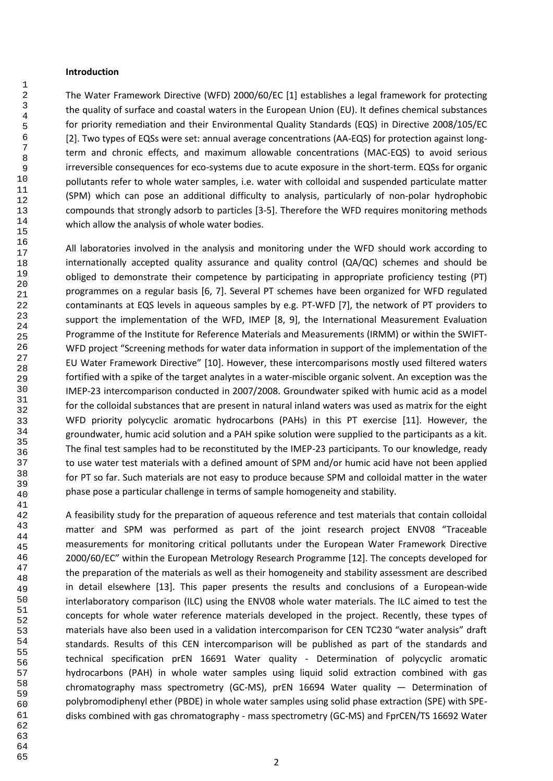#### **Introduction**

The Water Framework Directive (WFD) 2000/60/EC [1] establishes a legal framework for protecting the quality of surface and coastal waters in the European Union (EU). It defines chemical substances for priority remediation and their Environmental Quality Standards (EQS) in Directive 2008/105/EC [2]. Two types of EQSs were set: annual average concentrations (AA-EQS) for protection against longterm and chronic effects, and maximum allowable concentrations (MAC-EQS) to avoid serious irreversible consequences for eco-systems due to acute exposure in the short-term. EQSs for organic pollutants refer to whole water samples, i.e. water with colloidal and suspended particulate matter (SPM) which can pose an additional difficulty to analysis, particularly of non-polar hydrophobic compounds that strongly adsorb to particles [3-5]. Therefore the WFD requires monitoring methods which allow the analysis of whole water bodies.

All laboratories involved in the analysis and monitoring under the WFD should work according to internationally accepted quality assurance and quality control (QA/QC) schemes and should be obliged to demonstrate their competence by participating in appropriate proficiency testing (PT) programmes on a regular basis [6, 7]. Several PT schemes have been organized for WFD regulated contaminants at EQS levels in aqueous samples by e.g. PT-WFD [7], the network of PT providers to support the implementation of the WFD, IMEP [8, 9], the International Measurement Evaluation Programme of the Institute for Reference Materials and Measurements (IRMM) or within the SWIFT-WFD project "Screening methods for water data information in support of the implementation of the EU Water Framework Directive" [10]. However, these intercomparisons mostly used filtered waters fortified with a spike of the target analytes in a water-miscible organic solvent. An exception was the IMEP-23 intercomparison conducted in 2007/2008. Groundwater spiked with humic acid as a model for the colloidal substances that are present in natural inland waters was used as matrix for the eight WFD priority polycyclic aromatic hydrocarbons (PAHs) in this PT exercise [11]. However, the groundwater, humic acid solution and a PAH spike solution were supplied to the participants as a kit. The final test samples had to be reconstituted by the IMEP-23 participants. To our knowledge, ready to use water test materials with a defined amount of SPM and/or humic acid have not been applied for PT so far. Such materials are not easy to produce because SPM and colloidal matter in the water phase pose a particular challenge in terms of sample homogeneity and stability.

A feasibility study for the preparation of aqueous reference and test materials that contain colloidal matter and SPM was performed as part of the joint research project ENV08 "Traceable measurements for monitoring critical pollutants under the European Water Framework Directive 2000/60/EC" within the European Metrology Research Programme [12]. The concepts developed for the preparation of the materials as well as their homogeneity and stability assessment are described in detail elsewhere [13]. This paper presents the results and conclusions of a European-wide interlaboratory comparison (ILC) using the ENV08 whole water materials. The ILC aimed to test the concepts for whole water reference materials developed in the project. Recently, these types of materials have also been used in a validation intercomparison for CEN TC230 "water analysis" draft standards. Results of this CEN intercomparison will be published as part of the standards and technical specification prEN 16691 Water quality - Determination of polycyclic aromatic hydrocarbons (PAH) in whole water samples using liquid solid extraction combined with gas chromatography mass spectrometry (GC-MS), prEN 16694 Water quality — Determination of polybromodiphenyl ether (PBDE) in whole water samples using solid phase extraction (SPE) with SPEdisks combined with gas chromatography - mass spectrometry (GC-MS) and FprCEN/TS 16692 Water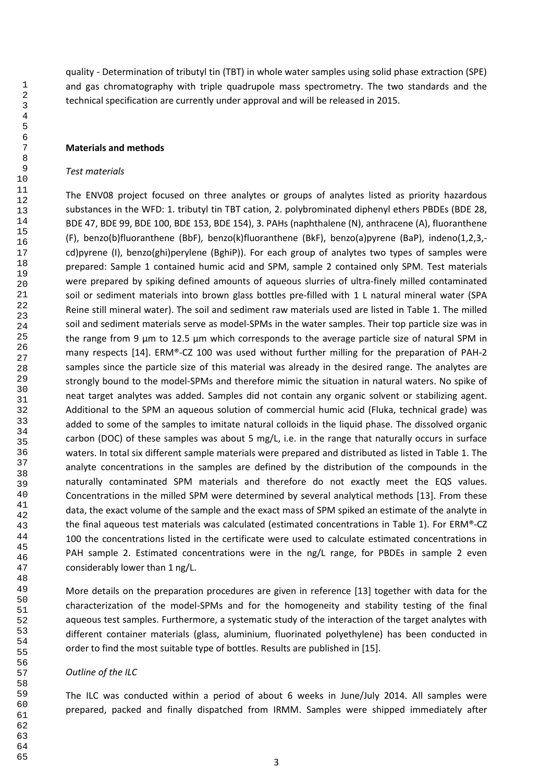quality - Determination of tributyl tin (TBT) in whole water samples using solid phase extraction (SPE) and gas chromatography with triple quadrupole mass spectrometry. The two standards and the technical specification are currently under approval and will be released in 2015.

#### **Materials and methods**

### *Test materials*

The ENV08 project focused on three analytes or groups of analytes listed as priority hazardous substances in the WFD: 1. tributyl tin TBT cation, 2. polybrominated diphenyl ethers PBDEs (BDE 28, BDE 47, BDE 99, BDE 100, BDE 153, BDE 154), 3. PAHs (naphthalene (N), anthracene (A), fluoranthene (F), benzo(b)fluoranthene (BbF), benzo(k)fluoranthene (BkF), benzo(a)pyrene (BaP), indeno(1,2,3, cd)pyrene (I), benzo(ghi)perylene (BghiP)). For each group of analytes two types of samples were prepared: Sample 1 contained humic acid and SPM, sample 2 contained only SPM. Test materials were prepared by spiking defined amounts of aqueous slurries of ultra-finely milled contaminated soil or sediment materials into brown glass bottles pre-filled with 1 L natural mineral water (SPA Reine still mineral water). The soil and sediment raw materials used are listed in Table 1. The milled soil and sediment materials serve as model-SPMs in the water samples. Their top particle size was in the range from 9 µm to 12.5 µm which corresponds to the average particle size of natural SPM in many respects [14]. ERM®-CZ 100 was used without further milling for the preparation of PAH-2 samples since the particle size of this material was already in the desired range. The analytes are strongly bound to the model-SPMs and therefore mimic the situation in natural waters. No spike of neat target analytes was added. Samples did not contain any organic solvent or stabilizing agent. Additional to the SPM an aqueous solution of commercial humic acid (Fluka, technical grade) was added to some of the samples to imitate natural colloids in the liquid phase. The dissolved organic carbon (DOC) of these samples was about 5 mg/L, i.e. in the range that naturally occurs in surface waters. In total six different sample materials were prepared and distributed as listed in Table 1. The analyte concentrations in the samples are defined by the distribution of the compounds in the naturally contaminated SPM materials and therefore do not exactly meet the EQS values. Concentrations in the milled SPM were determined by several analytical methods [13]. From these data, the exact volume of the sample and the exact mass of SPM spiked an estimate of the analyte in the final aqueous test materials was calculated (estimated concentrations in Table 1). For ERM®-CZ the concentrations listed in the certificate were used to calculate estimated concentrations in PAH sample 2. Estimated concentrations were in the ng/L range, for PBDEs in sample 2 even considerably lower than 1 ng/L.

More details on the preparation procedures are given in reference [13] together with data for the characterization of the model-SPMs and for the homogeneity and stability testing of the final aqueous test samples. Furthermore, a systematic study of the interaction of the target analytes with different container materials (glass, aluminium, fluorinated polyethylene) has been conducted in order to find the most suitable type of bottles. Results are published in [15].

#### *Outline of the ILC*

The ILC was conducted within a period of about 6 weeks in June/July 2014. All samples were prepared, packed and finally dispatched from IRMM. Samples were shipped immediately after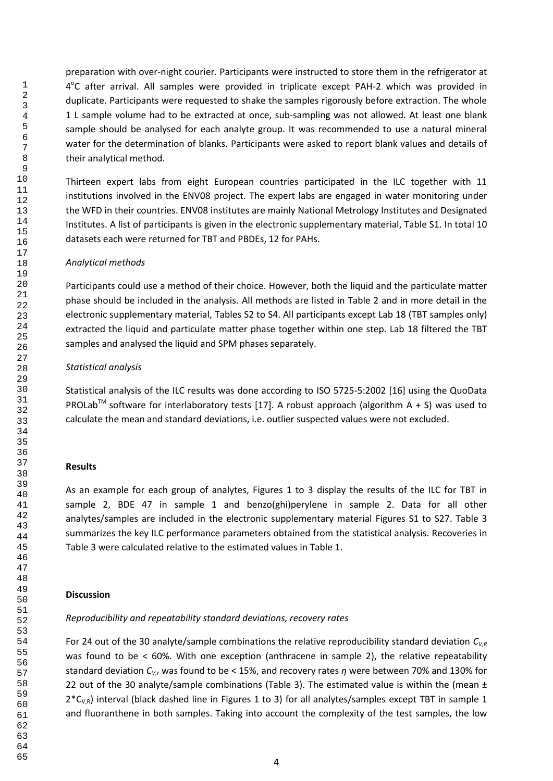preparation with over-night courier. Participants were instructed to store them in the refrigerator at 4<sup>°</sup>C after arrival. All samples were provided in triplicate except PAH-2 which was provided in duplicate. Participants were requested to shake the samples rigorously before extraction. The whole 1 L sample volume had to be extracted at once, sub-sampling was not allowed. At least one blank sample should be analysed for each analyte group. It was recommended to use a natural mineral water for the determination of blanks. Participants were asked to report blank values and details of their analytical method.

Thirteen expert labs from eight European countries participated in the ILC together with 11 institutions involved in the ENV08 project. The expert labs are engaged in water monitoring under the WFD in their countries. ENV08 institutes are mainly National Metrology Institutes and Designated Institutes. A list of participants is given in the electronic supplementary material, Table S1. In total 10 datasets each were returned for TBT and PBDEs, 12 for PAHs.

## *Analytical methods*

Participants could use a method of their choice. However, both the liquid and the particulate matter phase should be included in the analysis. All methods are listed in Table 2 and in more detail in the electronic supplementary material, Tables S2 to S4. All participants except Lab 18 (TBT samples only) extracted the liquid and particulate matter phase together within one step. Lab 18 filtered the TBT samples and analysed the liquid and SPM phases separately.

### *Statistical analysis*

Statistical analysis of the ILC results was done according to ISO 5725-5:2002 [16] using the QuoData PROLab<sup>™</sup> software for interlaboratory tests [17]. A robust approach (algorithm A + S) was used to calculate the mean and standard deviations, i.e. outlier suspected values were not excluded.

#### **Results**

As an example for each group of analytes, Figures 1 to 3 display the results of the ILC for TBT in sample 2, BDE 47 in sample 1 and benzo(ghi)perylene in sample 2. Data for all other analytes/samples are included in the electronic supplementary material Figures S1 to S27. Table 3 summarizes the key ILC performance parameters obtained from the statistical analysis. Recoveries in Table 3 were calculated relative to the estimated values in Table 1.

## **Discussion**

## *Reproducibility and repeatability standard deviations, recovery rates*

For 24 out of the 30 analyte/sample combinations the relative reproducibility standard deviation *CV,R* was found to be < 60%. With one exception (anthracene in sample 2), the relative repeatability standard deviation *CV,r* was found to be < 15%, and recovery rates *η* were between 70% and 130% for 22 out of the 30 analyte/sample combinations (Table 3). The estimated value is within the (mean  $\pm$  $2*C_{VB}$ ) interval (black dashed line in Figures 1 to 3) for all analytes/samples except TBT in sample 1 and fluoranthene in both samples. Taking into account the complexity of the test samples, the low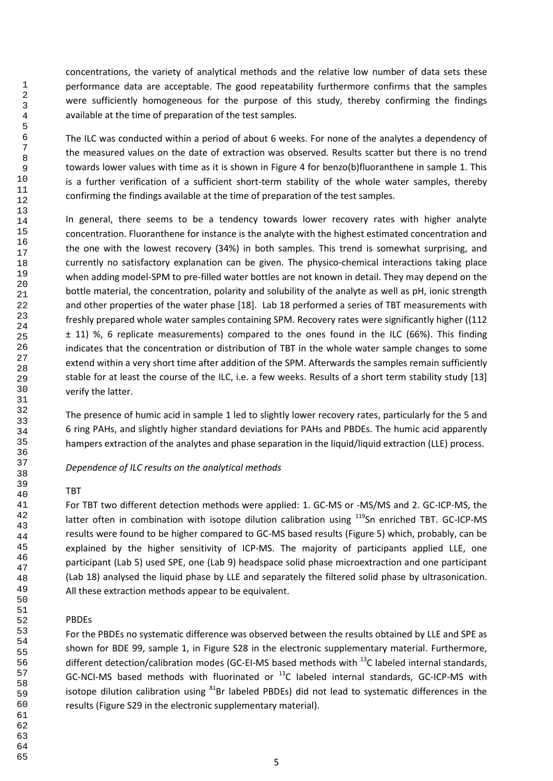concentrations, the variety of analytical methods and the relative low number of data sets these performance data are acceptable. The good repeatability furthermore confirms that the samples were sufficiently homogeneous for the purpose of this study, thereby confirming the findings available at the time of preparation of the test samples.

The ILC was conducted within a period of about 6 weeks. For none of the analytes a dependency of the measured values on the date of extraction was observed. Results scatter but there is no trend towards lower values with time as it is shown in Figure 4 for benzo(b)fluoranthene in sample 1. This is a further verification of a sufficient short-term stability of the whole water samples, thereby confirming the findings available at the time of preparation of the test samples.

In general, there seems to be a tendency towards lower recovery rates with higher analyte concentration. Fluoranthene for instance is the analyte with the highest estimated concentration and the one with the lowest recovery (34%) in both samples. This trend is somewhat surprising, and currently no satisfactory explanation can be given. The physico-chemical interactions taking place when adding model-SPM to pre-filled water bottles are not known in detail. They may depend on the bottle material, the concentration, polarity and solubility of the analyte as well as pH, ionic strength and other properties of the water phase [18]. Lab 18 performed a series of TBT measurements with freshly prepared whole water samples containing SPM. Recovery rates were significantly higher ((112  $\pm$  11) %, 6 replicate measurements) compared to the ones found in the ILC (66%). This finding indicates that the concentration or distribution of TBT in the whole water sample changes to some extend within a very short time after addition of the SPM. Afterwards the samples remain sufficiently stable for at least the course of the ILC, i.e. a few weeks. Results of a short term stability study [13] verify the latter.

The presence of humic acid in sample 1 led to slightly lower recovery rates, particularly for the 5 and 6 ring PAHs, and slightly higher standard deviations for PAHs and PBDEs. The humic acid apparently hampers extraction of the analytes and phase separation in the liquid/liquid extraction (LLE) process.

## *Dependence of ILC results on the analytical methods*

#### TBT

For TBT two different detection methods were applied: 1. GC-MS or -MS/MS and 2. GC-ICP-MS, the latter often in combination with isotope dilution calibration using <sup>119</sup>Sn enriched TBT. GC-ICP-MS results were found to be higher compared to GC-MS based results (Figure 5) which, probably, can be explained by the higher sensitivity of ICP-MS. The majority of participants applied LLE, one participant (Lab 5) used SPE, one (Lab 9) headspace solid phase microextraction and one participant (Lab 18) analysed the liquid phase by LLE and separately the filtered solid phase by ultrasonication. All these extraction methods appear to be equivalent.

## PBDEs

For the PBDEs no systematic difference was observed between the results obtained by LLE and SPE as shown for BDE 99, sample 1, in Figure S28 in the electronic supplementary material. Furthermore, different detection/calibration modes (GC-EI-MS based methods with  $^{13}$ C labeled internal standards, GC-NCI-MS based methods with fluorinated or  $^{13}$ C labeled internal standards, GC-ICP-MS with isotope dilution calibration using  $81Br$  labeled PBDEs) did not lead to systematic differences in the results (Figure S29 in the electronic supplementary material).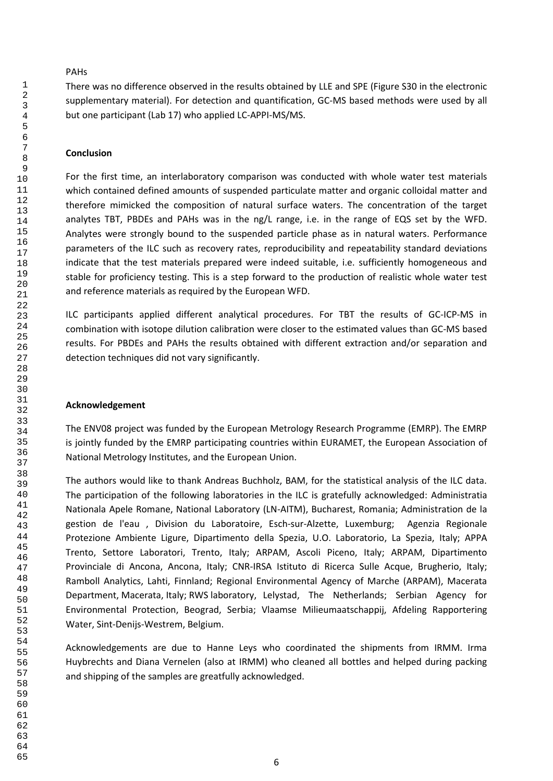## PAHs

There was no difference observed in the results obtained by LLE and SPE (Figure S30 in the electronic supplementary material). For detection and quantification, GC-MS based methods were used by all but one participant (Lab 17) who applied LC-APPI-MS/MS.

## **Conclusion**

For the first time, an interlaboratory comparison was conducted with whole water test materials which contained defined amounts of suspended particulate matter and organic colloidal matter and therefore mimicked the composition of natural surface waters. The concentration of the target analytes TBT, PBDEs and PAHs was in the ng/L range, i.e. in the range of EQS set by the WFD. Analytes were strongly bound to the suspended particle phase as in natural waters. Performance parameters of the ILC such as recovery rates, reproducibility and repeatability standard deviations indicate that the test materials prepared were indeed suitable, i.e. sufficiently homogeneous and stable for proficiency testing. This is a step forward to the production of realistic whole water test and reference materials as required by the European WFD.

ILC participants applied different analytical procedures. For TBT the results of GC-ICP-MS in combination with isotope dilution calibration were closer to the estimated values than GC-MS based results. For PBDEs and PAHs the results obtained with different extraction and/or separation and detection techniques did not vary significantly.

# **Acknowledgement**

The ENV08 project was funded by the European Metrology Research Programme (EMRP). The EMRP is jointly funded by the EMRP participating countries within EURAMET, the European Association of National Metrology Institutes, and the European Union.

The authors would like to thank Andreas Buchholz, BAM, for the statistical analysis of the ILC data. The participation of the following laboratories in the ILC is gratefully acknowledged: Administratia Nationala Apele Romane, National Laboratory (LN-AITM), Bucharest, Romania; Administration de la gestion de l'eau , Division du Laboratoire, Esch-sur-Alzette, Luxemburg; Agenzia Regionale Protezione Ambiente Ligure, Dipartimento della Spezia, U.O. Laboratorio, La Spezia, Italy; APPA Trento, Settore Laboratori, Trento, Italy; ARPAM, Ascoli Piceno, Italy; ARPAM, Dipartimento Provinciale di Ancona, Ancona, Italy; CNR-IRSA Istituto di Ricerca Sulle Acque, Brugherio, Italy; Ramboll Analytics, Lahti, Finnland; Regional Environmental Agency of Marche (ARPAM), Macerata Department, Macerata, Italy; RWS laboratory, Lelystad, The Netherlands; Serbian Agency for Environmental Protection, Beograd, Serbia; Vlaamse Milieumaatschappij, Afdeling Rapportering Water, Sint-Denijs-Westrem, Belgium.

Acknowledgements are due to Hanne Leys who coordinated the shipments from IRMM. Irma Huybrechts and Diana Vernelen (also at IRMM) who cleaned all bottles and helped during packing and shipping of the samples are greatfully acknowledged.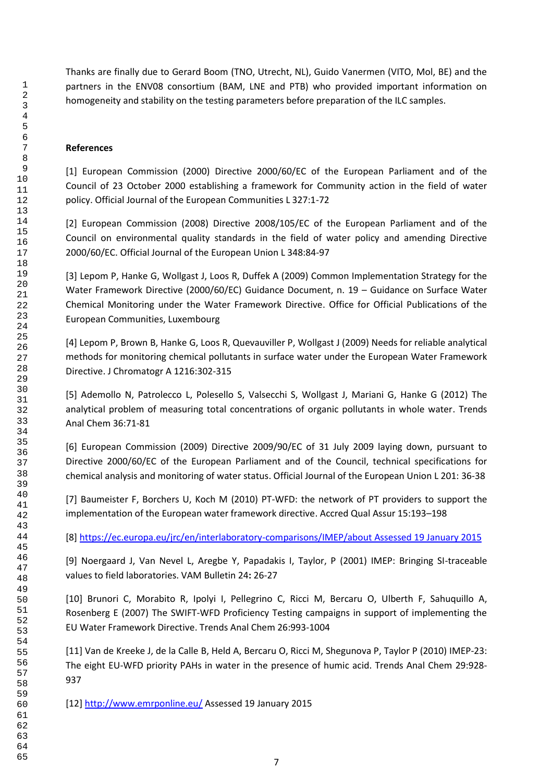Thanks are finally due to Gerard Boom (TNO, Utrecht, NL), Guido Vanermen (VITO, Mol, BE) and the partners in the ENV08 consortium (BAM, LNE and PTB) who provided important information on homogeneity and stability on the testing parameters before preparation of the ILC samples.

# **References**

[1] European Commission (2000) Directive 2000/60/EC of the European Parliament and of the Council of 23 October 2000 establishing a framework for Community action in the field of water policy. Official Journal of the European Communities L 327:1-72

[2] European Commission (2008) Directive 2008/105/EC of the European Parliament and of the Council on environmental quality standards in the field of water policy and amending Directive 2000/60/EC. Official Journal of the European Union L 348:84-97

[3] Lepom P, Hanke G, Wollgast J, Loos R, Duffek A (2009) Common Implementation Strategy for the Water Framework Directive (2000/60/EC) Guidance Document, n. 19 – Guidance on Surface Water Chemical Monitoring under the Water Framework Directive. Office for Official Publications of the European Communities, Luxembourg

[4] Lepom P, Brown B, Hanke G, Loos R, Quevauviller P, Wollgast J (2009) Needs for reliable analytical methods for monitoring chemical pollutants in surface water under the European Water Framework Directive. J Chromatogr A 1216:302-315

[5] Ademollo N, Patrolecco L, Polesello S, Valsecchi S, Wollgast J, Mariani G, Hanke G (2012) The analytical problem of measuring total concentrations of organic pollutants in whole water. Trends Anal Chem 36:71-81

[6] European Commission (2009) Directive 2009/90/EC of 31 July 2009 laying down, pursuant to Directive 2000/60/EC of the European Parliament and of the Council, technical specifications for chemical analysis and monitoring of water status. Official Journal of the European Union L 201: 36-38

[7] Baumeister F, Borchers U, Koch M (2010) PT-WFD: the network of PT providers to support the implementation of the European water framework directive. Accred Qual Assur 15:193–198

[8[\] https://ec.europa.eu/jrc/en/interlaboratory-comparisons/IMEP/about Assessed 19 January 2015](https://ec.europa.eu/jrc/en/interlaboratory-comparisons/IMEP/about%20Assessed%2019%20January%202015)

[9] Noergaard J, Van Nevel L, Aregbe Y, Papadakis I, Taylor, P (2001) IMEP: Bringing SI-traceable values to field laboratories. VAM Bulletin 24**:** 26-27

[10] Brunori C, Morabito R, Ipolyi I, Pellegrino C, Ricci M, Bercaru O, Ulberth F, Sahuquillo A, Rosenberg E (2007) The SWIFT-WFD Proficiency Testing campaigns in support of implementing the EU Water Framework Directive. Trends Anal Chem 26:993-1004

[11] Van de Kreeke J, de la Calle B, Held A, Bercaru O, Ricci M, Shegunova P, Taylor P (2010) IMEP-23: The eight EU-WFD priority PAHs in water in the presence of humic acid. Trends Anal Chem 29:928- 

[12]<http://www.emrponline.eu/> Assessed 19 January 2015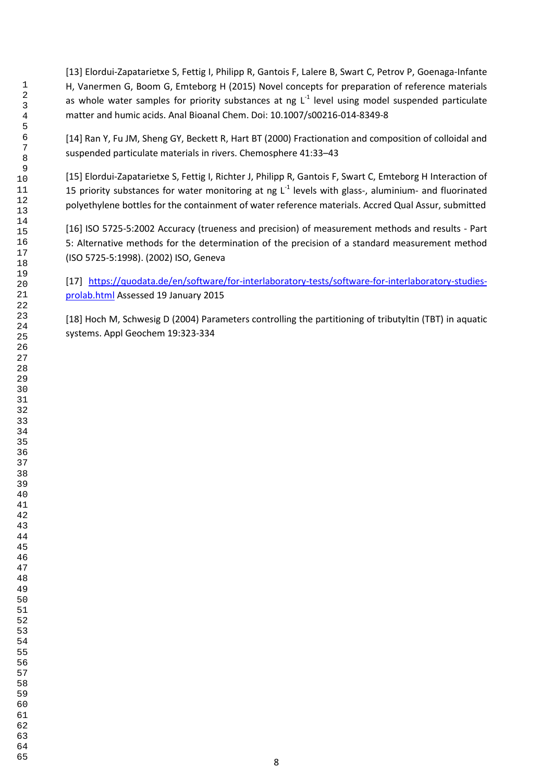[13] Elordui-Zapatarietxe S, Fettig I, Philipp R, Gantois F, Lalere B, Swart C, Petrov P, Goenaga-Infante H, Vanermen G, Boom G, Emteborg H (2015) Novel concepts for preparation of reference materials as whole water samples for priority substances at ng  $L<sup>-1</sup>$  level using model suspended particulate matter and humic acids. Anal Bioanal Chem. Doi: 10.1007/s00216-014-8349-8

[14] Ran Y, Fu JM, Sheng GY, Beckett R, Hart BT (2000) Fractionation and composition of colloidal and suspended particulate materials in rivers. Chemosphere 41:33–43

[15] Elordui-Zapatarietxe S, Fettig I, Richter J, Philipp R, Gantois F, Swart C, Emteborg H Interaction of 15 priority substances for water monitoring at ng  $L^{-1}$  levels with glass-, aluminium- and fluorinated polyethylene bottles for the containment of water reference materials. Accred Qual Assur, submitted

[16] ISO 5725-5:2002 Accuracy (trueness and precision) of measurement methods and results - Part 5: Alternative methods for the determination of the precision of a standard measurement method (ISO 5725-5:1998). (2002) ISO, Geneva

[17] [https://quodata.de/en/software/for-interlaboratory-tests/software-for-interlaboratory-studies](https://quodata.de/en/software/for-interlaboratory-tests/software-for-interlaboratory-studies-prolab.html)[prolab.html](https://quodata.de/en/software/for-interlaboratory-tests/software-for-interlaboratory-studies-prolab.html) Assessed 19 January 2015

[18] Hoch M, Schwesig D (2004) Parameters controlling the partitioning of tributyltin (TBT) in aquatic systems. Appl Geochem 19:323-334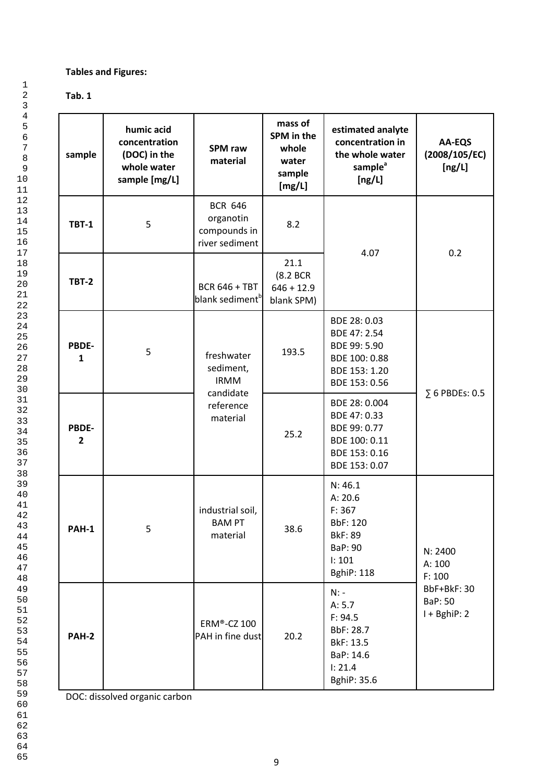# **Tables and Figures:**

# **Tab. 1**

1

| sample                  | humic acid<br>concentration<br>(DOC) in the<br>whole water<br>sample [mg/L] | <b>SPM</b> raw<br>material                                    | mass of<br>SPM in the<br>whole<br>water<br>sample<br>[mg/L] | estimated analyte<br>concentration in<br>the whole water<br>sample <sup>a</sup><br>[ng/L]           | AA-EQS<br>(2008/105/EC)<br>[ng/L]        |  |
|-------------------------|-----------------------------------------------------------------------------|---------------------------------------------------------------|-------------------------------------------------------------|-----------------------------------------------------------------------------------------------------|------------------------------------------|--|
| <b>TBT-1</b>            | 5                                                                           | <b>BCR 646</b><br>organotin<br>compounds in<br>river sediment | 8.2                                                         | 4.07                                                                                                | 0.2                                      |  |
| <b>TBT-2</b>            |                                                                             | <b>BCR 646 + TBT</b><br>blank sediment <sup>b</sup>           | 21.1<br>(8.2 BCR<br>$646 + 12.9$<br>blank SPM)              |                                                                                                     |                                          |  |
| PBDE-<br>$\mathbf{1}$   | 5                                                                           | freshwater<br>sediment,<br><b>IRMM</b>                        | 193.5                                                       | BDE 28: 0.03<br>BDE 47: 2.54<br>BDE 99: 5.90<br>BDE 100: 0.88<br>BDE 153: 1.20<br>BDE 153: 0.56     |                                          |  |
| PBDE-<br>$\overline{2}$ |                                                                             | candidate<br>reference<br>material                            | 25.2                                                        | BDE 28: 0.004<br>BDE 47: 0.33<br>BDE 99: 0.77<br>BDE 100: 0.11<br>BDE 153: 0.16<br>BDE 153: 0.07    | $\Sigma$ 6 PBDEs: 0.5                    |  |
| PAH-1                   | 5                                                                           | industrial soil,<br><b>BAM PT</b><br>material                 | 38.6                                                        | N: 46.1<br>A: 20.6<br>F: 367<br>BbF: 120<br><b>BkF: 89</b><br>BaP: 90<br>1:101<br><b>BghiP: 118</b> | N: 2400<br>A: 100<br>F: 100              |  |
| <b>PAH-2</b>            |                                                                             | ERM®-CZ 100<br>PAH in fine dust                               | 20.2                                                        | $N: -$<br>A: 5.7<br>F: 94.5<br>BbF: 28.7<br>BkF: 13.5<br>BaP: 14.6<br>I: 21.4<br>BghiP: 35.6        | BbF+BkF: 30<br>BaP: 50<br>$I + BghiP: 2$ |  |

DOC: dissolved organic carbon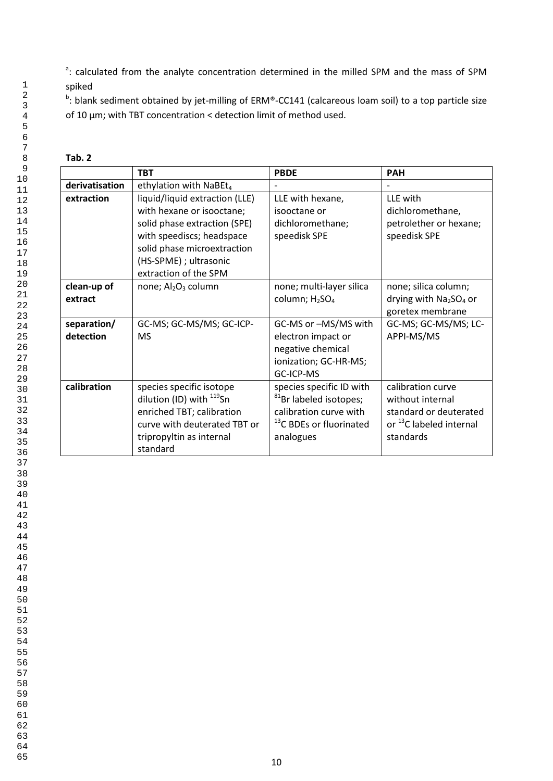<sup>a</sup>: calculated from the analyte concentration determined in the milled SPM and the mass of SPM spiked

<sup>b</sup>: blank sediment obtained by jet-milling of ERM®-CC141 (calcareous loam soil) to a top particle size of 10 µm; with TBT concentration < detection limit of method used.

| . .<br>×<br>۰. |
|----------------|
|----------------|

|                          | <b>TBT</b>                                                                                                                                                                                                 | <b>PBDE</b>                                                                                                                                  | <b>PAH</b>                                                                                                          |
|--------------------------|------------------------------------------------------------------------------------------------------------------------------------------------------------------------------------------------------------|----------------------------------------------------------------------------------------------------------------------------------------------|---------------------------------------------------------------------------------------------------------------------|
| derivatisation           | ethylation with NaBEt <sub>4</sub>                                                                                                                                                                         |                                                                                                                                              |                                                                                                                     |
| extraction               | liquid/liquid extraction (LLE)<br>with hexane or isooctane;<br>solid phase extraction (SPE)<br>with speediscs; headspace<br>solid phase microextraction<br>(HS-SPME) ; ultrasonic<br>extraction of the SPM | LLE with hexane,<br>isooctane or<br>dichloromethane;<br>speedisk SPE                                                                         | LLE with<br>dichloromethane,<br>petrolether or hexane;<br>speedisk SPE                                              |
| clean-up of<br>extract   | none; Al <sub>2</sub> O <sub>3</sub> column                                                                                                                                                                | none; multi-layer silica<br>column; H <sub>2</sub> SO <sub>4</sub>                                                                           | none; silica column;<br>drying with $Na2SO4$ or<br>goretex membrane                                                 |
| separation/<br>detection | GC-MS; GC-MS/MS; GC-ICP-<br><b>MS</b>                                                                                                                                                                      | GC-MS or -MS/MS with<br>electron impact or<br>negative chemical<br>ionization; GC-HR-MS;<br>GC-ICP-MS                                        | GC-MS; GC-MS/MS; LC-<br>APPI-MS/MS                                                                                  |
| calibration              | species specific isotope<br>dilution (ID) with <sup>119</sup> Sn<br>enriched TBT; calibration<br>curve with deuterated TBT or<br>tripropyltin as internal<br>standard                                      | species specific ID with<br><sup>81</sup> Br labeled isotopes;<br>calibration curve with<br><sup>13</sup> C BDEs or fluorinated<br>analogues | calibration curve<br>without internal<br>standard or deuterated<br>or <sup>13</sup> C labeled internal<br>standards |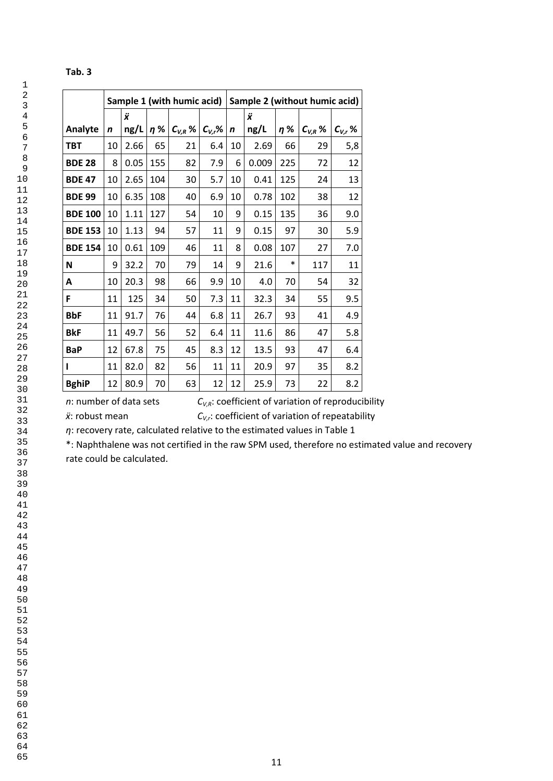# **Tab. 3**

|                |    |      |     | Sample 1 (with humic acid) |             |             |       |          | Sample 2 (without humic acid) |             |
|----------------|----|------|-----|----------------------------|-------------|-------------|-------|----------|-------------------------------|-------------|
|                |    | Ÿ    |     |                            |             |             | Ÿ     |          |                               |             |
| Analyte        | n  | ng/L | η%  | $C_{V,R}$ %                | $C_{V,r}$ % | $\mathbf n$ | ng/L  | $\eta$ % | $C_{V,R}$ %                   | $C_{V,r}$ % |
| <b>TBT</b>     | 10 | 2.66 | 65  | 21                         | 6.4         | 10          | 2.69  | 66       | 29                            | 5,8         |
| <b>BDE 28</b>  | 8  | 0.05 | 155 | 82                         | 7.9         | 6           | 0.009 | 225      | 72                            | 12          |
| <b>BDE 47</b>  | 10 | 2.65 | 104 | 30                         | 5.7         | 10          | 0.41  | 125      | 24                            | 13          |
| <b>BDE 99</b>  | 10 | 6.35 | 108 | 40                         | 6.9         | 10          | 0.78  | 102      | 38                            | 12          |
| <b>BDE 100</b> | 10 | 1.11 | 127 | 54                         | 10          | 9           | 0.15  | 135      | 36                            | 9.0         |
| <b>BDE 153</b> | 10 | 1.13 | 94  | 57                         | 11          | 9           | 0.15  | 97       | 30                            | 5.9         |
| <b>BDE 154</b> | 10 | 0.61 | 109 | 46                         | 11          | 8           | 0.08  | 107      | 27                            | 7.0         |
| N              | 9  | 32.2 | 70  | 79                         | 14          | 9           | 21.6  | *        | 117                           | 11          |
| A              | 10 | 20.3 | 98  | 66                         | 9.9         | 10          | 4.0   | 70       | 54                            | 32          |
| F              | 11 | 125  | 34  | 50                         | 7.3         | 11          | 32.3  | 34       | 55                            | 9.5         |
| <b>BbF</b>     | 11 | 91.7 | 76  | 44                         | 6.8         | 11          | 26.7  | 93       | 41                            | 4.9         |
| <b>BkF</b>     | 11 | 49.7 | 56  | 52                         | 6.4         | 11          | 11.6  | 86       | 47                            | 5.8         |
| <b>BaP</b>     | 12 | 67.8 | 75  | 45                         | 8.3         | 12          | 13.5  | 93       | 47                            | 6.4         |
| ı              | 11 | 82.0 | 82  | 56                         | 11          | 11          | 20.9  | 97       | 35                            | 8.2         |
| <b>BghiP</b>   | 12 | 80.9 | 70  | 63                         | 12          | 12          | 25.9  | 73       | 22                            | 8.2         |

*n*: number of data sets  $C_{V,R}$ : coefficient of variation of reproducibility

*ẍ*: robust mean *CV,r*: coefficient of variation of repeatability

*η*: recovery rate, calculated relative to the estimated values in Table 1

\*: Naphthalene was not certified in the raw SPM used, therefore no estimated value and recovery rate could be calculated.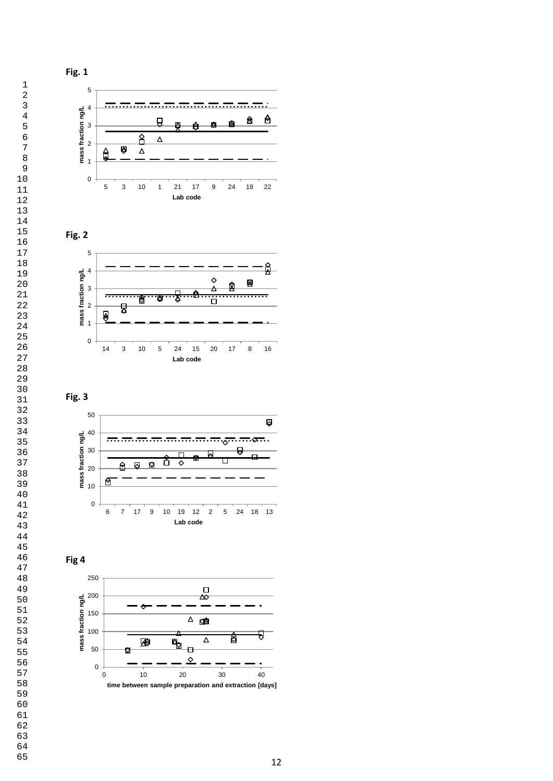











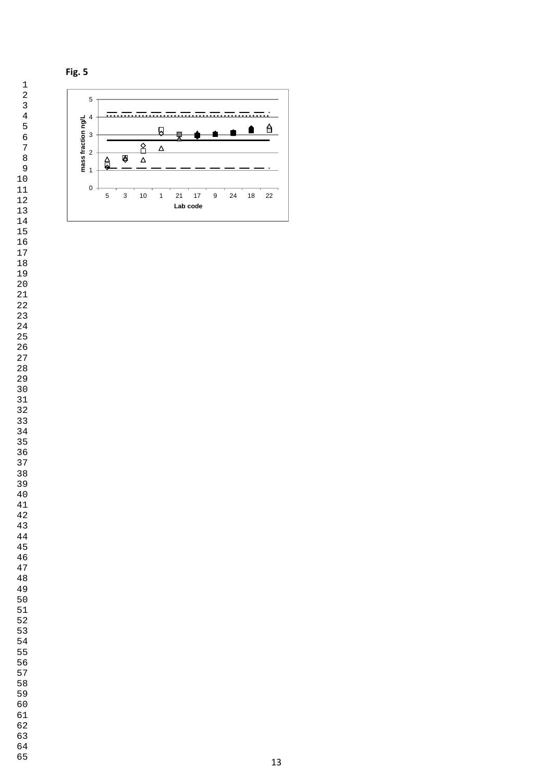

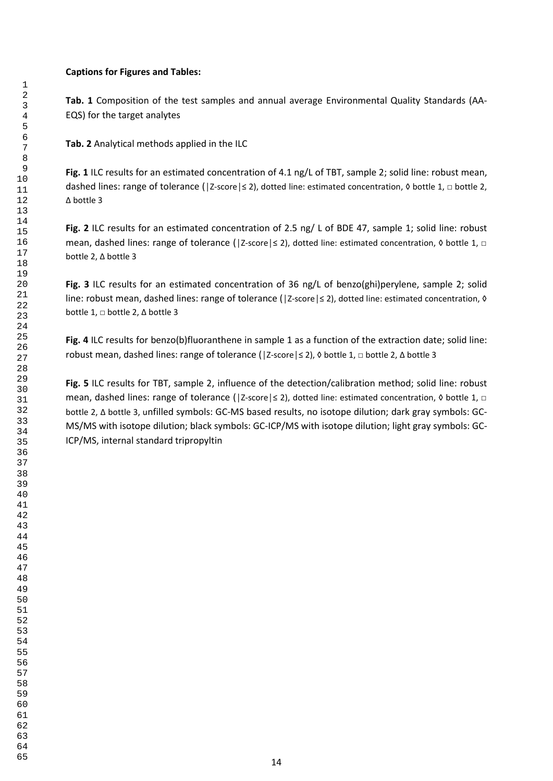## **Captions for Figures and Tables:**

**Tab. 1** Composition of the test samples and annual average Environmental Quality Standards (AA-EQS) for the target analytes

**Tab. 2** Analytical methods applied in the ILC

**Fig. 1** ILC results for an estimated concentration of 4.1 ng/L of TBT, sample 2; solid line: robust mean, dashed lines: range of tolerance (|Z-score|≤ 2), dotted line: estimated concentration, 0 bottle 1,  $\Box$  bottle 2, ∆ bottle 3

**Fig. 2** ILC results for an estimated concentration of 2.5 ng/ L of BDE 47, sample 1; solid line: robust mean, dashed lines: range of tolerance (|Z-score|≤ 2), dotted line: estimated concentration, 0 bottle 1, □ bottle 2, ∆ bottle 3

**Fig. 3** ILC results for an estimated concentration of 36 ng/L of benzo(ghi)perylene, sample 2; solid line: robust mean, dashed lines: range of tolerance (|Z-score|≤ 2), dotted line: estimated concentration, 0 bottle 1, □ bottle 2, ∆ bottle 3

**Fig. 4** ILC results for benzo(b)fluoranthene in sample 1 as a function of the extraction date; solid line: robust mean, dashed lines: range of tolerance (│Z-score│≤ 2), ◊ bottle 1, □ bottle 2, ∆ bottle 3

**Fig. 5** ILC results for TBT, sample 2, influence of the detection/calibration method; solid line: robust mean, dashed lines: range of tolerance (|Z-score|≤ 2), dotted line: estimated concentration, 0 bottle 1, □ bottle 2, ∆ bottle 3, unfilled symbols: GC-MS based results, no isotope dilution; dark gray symbols: GC-MS/MS with isotope dilution; black symbols: GC-ICP/MS with isotope dilution; light gray symbols: GC-ICP/MS, internal standard tripropyltin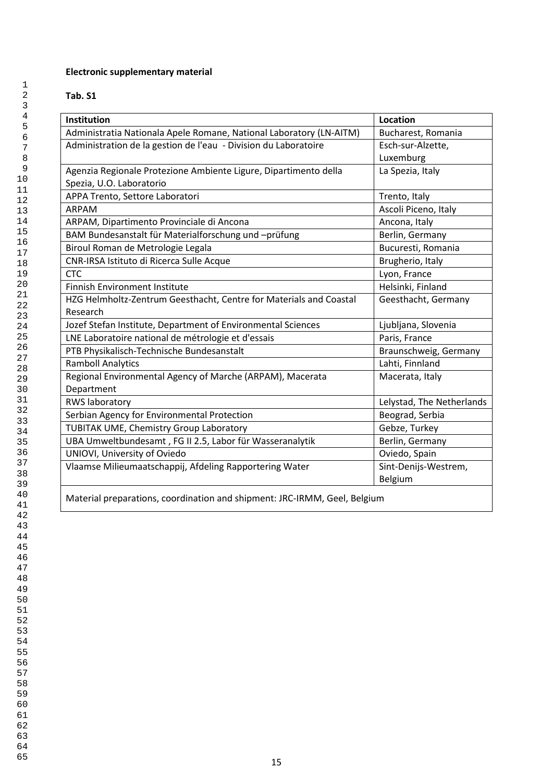# **Electronic supplementary material**

# **Tab. S1**

| <b>Institution</b>                                                        | Location                  |
|---------------------------------------------------------------------------|---------------------------|
| Administratia Nationala Apele Romane, National Laboratory (LN-AITM)       | Bucharest, Romania        |
| Administration de la gestion de l'eau - Division du Laboratoire           | Esch-sur-Alzette,         |
|                                                                           | Luxemburg                 |
| Agenzia Regionale Protezione Ambiente Ligure, Dipartimento della          | La Spezia, Italy          |
| Spezia, U.O. Laboratorio                                                  |                           |
| APPA Trento, Settore Laboratori                                           | Trento, Italy             |
| <b>ARPAM</b>                                                              | Ascoli Piceno, Italy      |
| ARPAM, Dipartimento Provinciale di Ancona                                 | Ancona, Italy             |
| BAM Bundesanstalt für Materialforschung und -prüfung                      | Berlin, Germany           |
| Biroul Roman de Metrologie Legala                                         | Bucuresti, Romania        |
| CNR-IRSA Istituto di Ricerca Sulle Acque                                  | Brugherio, Italy          |
| <b>CTC</b>                                                                | Lyon, France              |
| <b>Finnish Environment Institute</b>                                      | Helsinki, Finland         |
| HZG Helmholtz-Zentrum Geesthacht, Centre for Materials and Coastal        | Geesthacht, Germany       |
| Research                                                                  |                           |
| Jozef Stefan Institute, Department of Environmental Sciences              | Ljubljana, Slovenia       |
| LNE Laboratoire national de métrologie et d'essais                        | Paris, France             |
| PTB Physikalisch-Technische Bundesanstalt                                 | Braunschweig, Germany     |
| <b>Ramboll Analytics</b>                                                  | Lahti, Finnland           |
| Regional Environmental Agency of Marche (ARPAM), Macerata                 | Macerata, Italy           |
| Department                                                                |                           |
| RWS laboratory                                                            | Lelystad, The Netherlands |
| Serbian Agency for Environmental Protection                               | Beograd, Serbia           |
| TUBITAK UME, Chemistry Group Laboratory                                   | Gebze, Turkey             |
| UBA Umweltbundesamt, FG II 2.5, Labor für Wasseranalytik                  | Berlin, Germany           |
| UNIOVI, University of Oviedo                                              | Oviedo, Spain             |
| Vlaamse Milieumaatschappij, Afdeling Rapportering Water                   | Sint-Denijs-Westrem,      |
|                                                                           | Belgium                   |
| Material preparations, coordination and shipment: JRC-IRMM, Geel, Belgium |                           |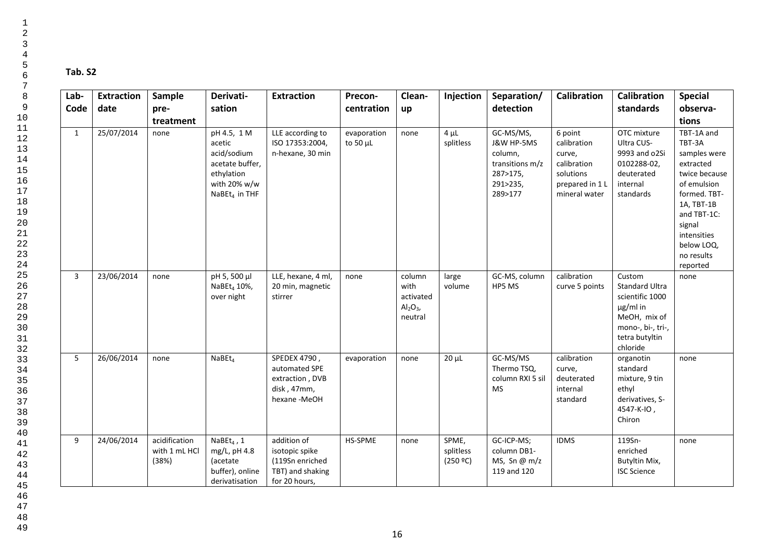# **Tab. S2**

| Lab-         | <b>Extraction</b> | Sample                                  | Derivati-                                                                                                          | <b>Extraction</b>                                                                     | Precon-                      | Clean-                                                                | Injection                      | Separation/                                                                              | <b>Calibration</b>                                                                               | <b>Calibration</b>                                                                                                                     | <b>Special</b>                                                                                                                                                                                  |
|--------------|-------------------|-----------------------------------------|--------------------------------------------------------------------------------------------------------------------|---------------------------------------------------------------------------------------|------------------------------|-----------------------------------------------------------------------|--------------------------------|------------------------------------------------------------------------------------------|--------------------------------------------------------------------------------------------------|----------------------------------------------------------------------------------------------------------------------------------------|-------------------------------------------------------------------------------------------------------------------------------------------------------------------------------------------------|
| Code         | date              | pre-                                    | sation                                                                                                             |                                                                                       | centration                   | up                                                                    |                                | detection                                                                                |                                                                                                  | standards                                                                                                                              | observa-                                                                                                                                                                                        |
|              |                   | treatment                               |                                                                                                                    |                                                                                       |                              |                                                                       |                                |                                                                                          |                                                                                                  |                                                                                                                                        | tions                                                                                                                                                                                           |
| $\mathbf{1}$ | 25/07/2014        | none                                    | pH 4.5, 1 M<br>acetic<br>acid/sodium<br>acetate buffer,<br>ethylation<br>with 20% w/w<br>NaBEt <sub>4</sub> in THF | LLE according to<br>ISO 17353:2004,<br>n-hexane, 30 min                               | evaporation<br>to 50 $\mu$ L | none                                                                  | $4 \mu L$<br>splitless         | GC-MS/MS,<br>J&W HP-5MS<br>column,<br>transitions m/z<br>287>175,<br>291>235,<br>289>177 | 6 point<br>calibration<br>curve,<br>calibration<br>solutions<br>prepared in 1 L<br>mineral water | OTC mixture<br>Ultra CUS-<br>9993 and o2Si<br>0102288-02,<br>deuterated<br>internal<br>standards                                       | TBT-1A and<br>TBT-3A<br>samples were<br>extracted<br>twice because<br>of emulsion<br>formed. TBT-<br>1A, TBT-1B<br>and TBT-1C:<br>signal<br>intensities<br>below LOQ,<br>no results<br>reported |
| 3            | 23/06/2014        | none                                    | pH 5, 500 µl<br>NaBEt <sub>4</sub> 10%,<br>over night                                                              | LLE, hexane, 4 ml,<br>20 min, magnetic<br>stirrer                                     | none                         | column<br>with<br>activated<br>$\mathsf{Al}_2\mathsf{O}_3$<br>neutral | large<br>volume                | GC-MS, column<br>HP5 MS                                                                  | calibration<br>curve 5 points                                                                    | Custom<br><b>Standard Ultra</b><br>scientific 1000<br>$\mu$ g/ml in<br>MeOH, mix of<br>mono-, bi-, tri-,<br>tetra butyltin<br>chloride | none                                                                                                                                                                                            |
| 5            | 26/06/2014        | none                                    | $N$ a $B$ Et <sub>4</sub>                                                                                          | SPEDEX 4790,<br>automated SPE<br>extraction, DVB<br>disk, 47mm,<br>hexane -MeOH       | evaporation                  | none                                                                  | $20 \mu L$                     | GC-MS/MS<br>Thermo TSQ,<br>column RXI 5 sil<br>MS                                        | calibration<br>curve,<br>deuterated<br>internal<br>standard                                      | organotin<br>standard<br>mixture, 9 tin<br>ethyl<br>derivatives, S-<br>4547-K-IO,<br>Chiron                                            | none                                                                                                                                                                                            |
| 9            | 24/06/2014        | acidification<br>with 1 mL HCl<br>(38%) | NaBE $t_4$ , 1<br>mg/L, pH 4.8<br><i>(acetate</i><br>buffer), online<br>derivatisation                             | addition of<br>isotopic spike<br>(119Sn enriched<br>TBT) and shaking<br>for 20 hours, | HS-SPME                      | none                                                                  | SPME,<br>splitless<br>(250 °C) | GC-ICP-MS;<br>column DB1-<br>MS, Sn $@$ m/z<br>119 and 120                               | <b>IDMS</b>                                                                                      | 119Sn-<br>enriched<br>Butyltin Mix,<br><b>ISC Science</b>                                                                              | none                                                                                                                                                                                            |

45 46

47  $48$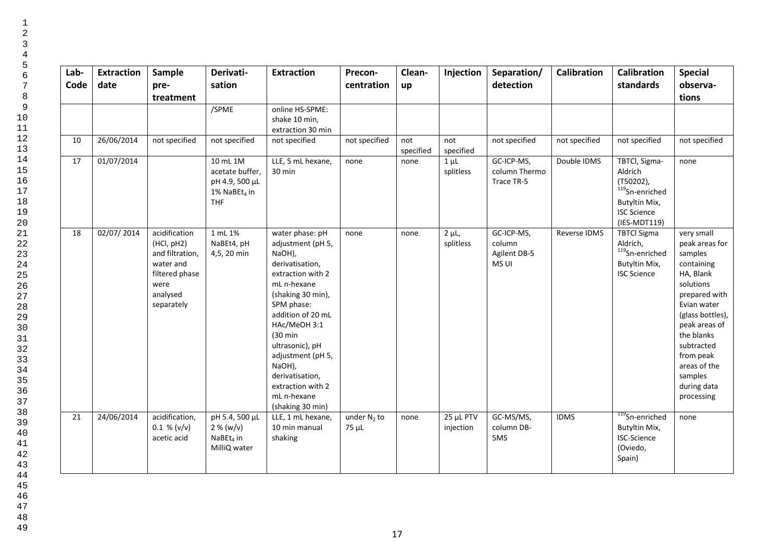| Lab-<br>Code | <b>Extraction</b><br>date | Sample<br>pre-<br>treatment                                                                                     | Derivati-<br>sation                                                              | <b>Extraction</b>                                                                                                                                                                                                                                                                                                                | Precon-<br>centration   | Clean-<br>up     | Injection              | Separation/<br>detection                      | <b>Calibration</b> | <b>Calibration</b><br>standards                                                                                               | <b>Special</b><br>observa-<br>tions                                                                                                                                                                                                                   |
|--------------|---------------------------|-----------------------------------------------------------------------------------------------------------------|----------------------------------------------------------------------------------|----------------------------------------------------------------------------------------------------------------------------------------------------------------------------------------------------------------------------------------------------------------------------------------------------------------------------------|-------------------------|------------------|------------------------|-----------------------------------------------|--------------------|-------------------------------------------------------------------------------------------------------------------------------|-------------------------------------------------------------------------------------------------------------------------------------------------------------------------------------------------------------------------------------------------------|
|              |                           |                                                                                                                 | /SPME                                                                            | online HS-SPME:<br>shake 10 min,<br>extraction 30 min                                                                                                                                                                                                                                                                            |                         |                  |                        |                                               |                    |                                                                                                                               |                                                                                                                                                                                                                                                       |
| 10           | 26/06/2014                | not specified                                                                                                   | not specified                                                                    | not specified                                                                                                                                                                                                                                                                                                                    | not specified           | not<br>specified | not<br>specified       | not specified                                 | not specified      | not specified                                                                                                                 | not specified                                                                                                                                                                                                                                         |
| 17           | 01/07/2014                |                                                                                                                 | 10 mL 1M<br>acetate buffer,<br>pH 4.9, 500 µL<br>1% NaBEt <sub>4</sub> in<br>THF | LLE, 5 mL hexane,<br>30 min                                                                                                                                                                                                                                                                                                      | none                    | none             | $1 \mu L$<br>splitless | GC-ICP-MS,<br>column Thermo<br>Trace TR-5     | Double IDMS        | TBTCI, Sigma-<br>Aldrich<br>$(T50202)$ ,<br><sup>119</sup> Sn-enriched<br>Butyltin Mix,<br><b>ISC Science</b><br>(IES-MDT119) | none                                                                                                                                                                                                                                                  |
| 18           | 02/07/2014                | acidification<br>(HCl, pH2)<br>and filtration,<br>water and<br>filtered phase<br>were<br>analysed<br>separately | 1 mL 1%<br>NaBEt4, pH<br>4,5, 20 min                                             | water phase: pH<br>adjustment (pH 5,<br>NaOH),<br>derivatisation,<br>extraction with 2<br>mL n-hexane<br>(shaking 30 min),<br>SPM phase:<br>addition of 20 mL<br>HAc/MeOH 3:1<br>$(30 \text{ min})$<br>ultrasonic), pH<br>adjustment (pH 5,<br>NaOH),<br>derivatisation,<br>extraction with 2<br>mL n-hexane<br>(shaking 30 min) | none                    | none             | $2 \mu L$<br>splitless | GC-ICP-MS,<br>column<br>Agilent DB-5<br>MS UI | Reverse IDMS       | <b>TBTCI Sigma</b><br>Aldrich,<br>$119$ Sn-enriched<br>Butyltin Mix,<br><b>ISC Science</b>                                    | very small<br>peak areas for<br>samples<br>containing<br>HA, Blank<br>solutions<br>prepared with<br>Evian water<br>(glass bottles),<br>peak areas of<br>the blanks<br>subtracted<br>from peak<br>areas of the<br>samples<br>during data<br>processing |
| 21           | 24/06/2014                | acidification,<br>0.1 % (v/v)<br>acetic acid                                                                    | pH 5.4, 500 µL<br>2% (w/v)<br>NaBEt <sub>4</sub> in<br>MilliQ water              | LLE, 1 mL hexane,<br>10 min manual<br>shaking                                                                                                                                                                                                                                                                                    | under $N_2$ to<br>75 µL | none             | 25 µL PTV<br>injection | GC-MS/MS,<br>column DB-<br>5MS                | <b>IDMS</b>        | $119$ Sn-enriched<br>Butyltin Mix,<br><b>ISC-Science</b><br>(Oviedo,<br>Spain)                                                | none                                                                                                                                                                                                                                                  |

46

47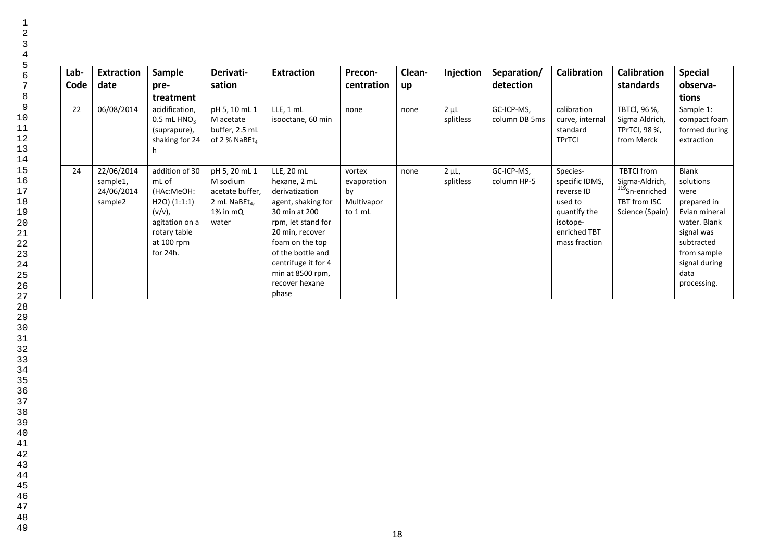| Lab- | <b>Extraction</b>                               | Sample                                                                                                                                 | Derivati-                                                                               | <b>Extraction</b>                                                                                                                                                                                                                          | Precon-                                              | Clean- | Injection              | Separation/                 | <b>Calibration</b>                                                                                               | <b>Calibration</b>                                                                                   | <b>Special</b>                                                                                                                                                       |
|------|-------------------------------------------------|----------------------------------------------------------------------------------------------------------------------------------------|-----------------------------------------------------------------------------------------|--------------------------------------------------------------------------------------------------------------------------------------------------------------------------------------------------------------------------------------------|------------------------------------------------------|--------|------------------------|-----------------------------|------------------------------------------------------------------------------------------------------------------|------------------------------------------------------------------------------------------------------|----------------------------------------------------------------------------------------------------------------------------------------------------------------------|
| Code | date                                            | pre-                                                                                                                                   | sation                                                                                  |                                                                                                                                                                                                                                            | centration                                           | up     |                        | detection                   |                                                                                                                  | standards                                                                                            | observa-                                                                                                                                                             |
|      |                                                 | treatment                                                                                                                              |                                                                                         |                                                                                                                                                                                                                                            |                                                      |        |                        |                             |                                                                                                                  |                                                                                                      | tions                                                                                                                                                                |
| 22   | 06/08/2014                                      | acidification,<br>0.5 mL $HNO3$<br>(suprapure),<br>shaking for 24                                                                      | pH 5, 10 mL 1<br>M acetate<br>buffer, 2.5 mL<br>of 2 % NaBEt <sub>4</sub>               | LLE, 1 mL<br>isooctane, 60 min                                                                                                                                                                                                             | none                                                 | none   | $2 \mu L$<br>splitless | GC-ICP-MS,<br>column DB 5ms | calibration<br>curve, internal<br>standard<br><b>TPrTCI</b>                                                      | TBTCI, 96 %,<br>Sigma Aldrich,<br><b>TPrTCI, 98 %,</b><br>from Merck                                 | Sample 1:<br>compact foam<br>formed during<br>extraction                                                                                                             |
| 24   | 22/06/2014<br>sample1,<br>24/06/2014<br>sample2 | addition of 30<br>mL of<br>(HAc:MeOH:<br>$H2O$ ) $(1:1:1)$<br>$(v/v)$ ,<br>agitation on a<br>rotary table<br>at 100 rpm<br>for $24h$ . | pH 5, 20 mL 1<br>M sodium<br>acetate buffer,<br>2 mL NaBE $t_4$<br>$1\%$ in mQ<br>water | LLE, 20 mL<br>hexane, 2 mL<br>derivatization<br>agent, shaking for<br>30 min at 200<br>rpm, let stand for<br>20 min, recover<br>foam on the top<br>of the bottle and<br>centrifuge it for 4<br>min at 8500 rpm,<br>recover hexane<br>phase | vortex<br>evaporation<br>by<br>Multivapor<br>to 1 mL | none   | $2 \mu L$<br>splitless | GC-ICP-MS,<br>column HP-5   | Species-<br>specific IDMS,<br>reverse ID<br>used to<br>quantify the<br>isotope-<br>enriched TBT<br>mass fraction | <b>TBTCI</b> from<br>Sigma-Aldrich,<br><sup>119</sup> Sn-enriched<br>TBT from ISC<br>Science (Spain) | <b>Blank</b><br>solutions<br>were<br>prepared in<br>Evian mineral<br>water. Blank<br>signal was<br>subtracted<br>from sample<br>signal during<br>data<br>processing. |

47 48 49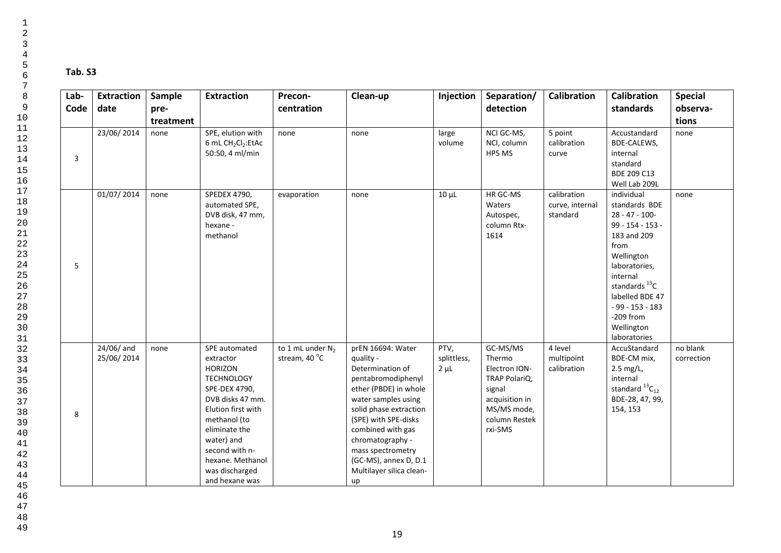| Lab- | <b>Extraction</b>        | Sample    | <b>Extraction</b>                                                                                                                                                                                                                                     | Precon-                              | Clean-up                                                                                                                                                                                                                                                                                            | Injection                        | Separation/                                                                                                                 | <b>Calibration</b>                         | <b>Calibration</b>                                                                                                                                                                                                                                         | <b>Special</b>         |
|------|--------------------------|-----------|-------------------------------------------------------------------------------------------------------------------------------------------------------------------------------------------------------------------------------------------------------|--------------------------------------|-----------------------------------------------------------------------------------------------------------------------------------------------------------------------------------------------------------------------------------------------------------------------------------------------------|----------------------------------|-----------------------------------------------------------------------------------------------------------------------------|--------------------------------------------|------------------------------------------------------------------------------------------------------------------------------------------------------------------------------------------------------------------------------------------------------------|------------------------|
| Code | date                     | pre-      |                                                                                                                                                                                                                                                       | centration                           |                                                                                                                                                                                                                                                                                                     |                                  | detection                                                                                                                   |                                            | standards                                                                                                                                                                                                                                                  | observa-               |
|      |                          | treatment |                                                                                                                                                                                                                                                       |                                      |                                                                                                                                                                                                                                                                                                     |                                  |                                                                                                                             |                                            |                                                                                                                                                                                                                                                            | tions                  |
| 3    | 23/06/2014               | none      | SPE, elution with<br>6 mL CH <sub>2</sub> Cl <sub>2</sub> :EtAc<br>50:50, 4 ml/min                                                                                                                                                                    | none                                 | none                                                                                                                                                                                                                                                                                                | large<br>volume                  | NCI GC-MS,<br>NCI, column<br>HP5 MS                                                                                         | 5 point<br>calibration<br>curve            | Accustandard<br>BDE-CALEWS,<br>internal<br>standard<br>BDE 209 C13<br>Well Lab 209L                                                                                                                                                                        | none                   |
| 5    | 01/07/2014               | none      | SPEDEX 4790,<br>automated SPE,<br>DVB disk, 47 mm,<br>hexane -<br>methanol                                                                                                                                                                            | evaporation                          | none                                                                                                                                                                                                                                                                                                | $10 \mu L$                       | HR GC-MS<br>Waters<br>Autospec,<br>column Rtx-<br>1614                                                                      | calibration<br>curve, internal<br>standard | individual<br>standards BDE<br>$28 - 47 - 100 -$<br>$99 - 154 - 153 -$<br>183 and 209<br>from<br>Wellington<br>laboratories,<br>internal<br>standards <sup>13</sup> C<br>labelled BDE 47<br>$-99 - 153 - 183$<br>$-209$ from<br>Wellington<br>laboratories | none                   |
| 8    | 24/06/ and<br>25/06/2014 | none      | SPE automated<br>extractor<br><b>HORIZON</b><br><b>TECHNOLOGY</b><br>SPE-DEX 4790,<br>DVB disks 47 mm.<br>Elution first with<br>methanol (to<br>eliminate the<br>water) and<br>second with n-<br>hexane. Methanol<br>was discharged<br>and hexane was | to 1 mL under $N_2$<br>stream, 40 °C | prEN 16694: Water<br>quality -<br>Determination of<br>pentabromodiphenyl<br>ether (PBDE) in whole<br>water samples using<br>solid phase extraction<br>(SPE) with SPE-disks<br>combined with gas<br>chromatography -<br>mass spectrometry<br>(GC-MS), annex D, D.1<br>Multilayer silica clean-<br>up | PTV,<br>splittless,<br>$2 \mu L$ | GC-MS/MS<br>Thermo<br>Electron ION-<br>TRAP PolariQ,<br>signal<br>acquisition in<br>MS/MS mode,<br>column Restek<br>rxi-5MS | 4 level<br>multipoint<br>calibration       | AccuStandard<br>BDE-CM mix,<br>2.5 mg/L,<br>internal<br>standard $^{13}C_{12}$<br>BDE-28, 47, 99,<br>154, 153                                                                                                                                              | no blank<br>correction |

45 46

47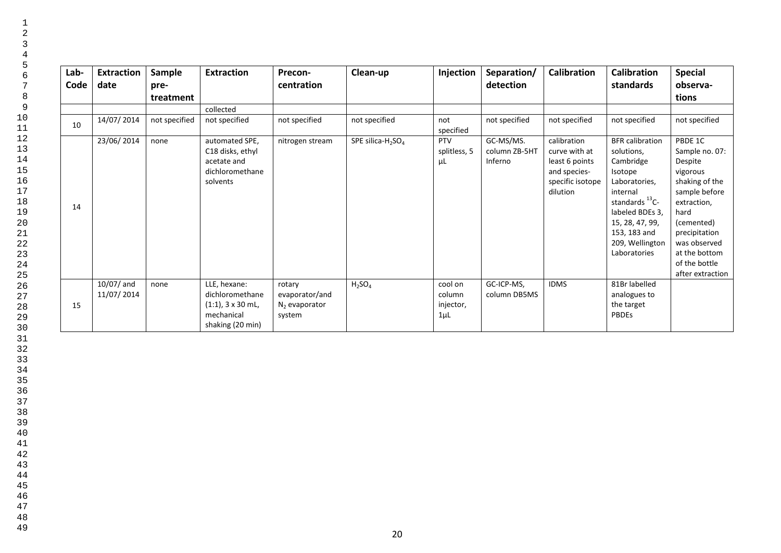| Lab-<br>Code | <b>Extraction</b><br>date  | Sample<br>pre-<br>treatment | <b>Extraction</b>                                                                         | Precon-<br>centration                                 | Clean-up              | Injection                                  | Separation/<br>detection              | <b>Calibration</b>                                                                             | Calibration<br>standards                                                                                                                                                                                         | <b>Special</b><br>observa-<br>tions                                                                                                                                                                             |
|--------------|----------------------------|-----------------------------|-------------------------------------------------------------------------------------------|-------------------------------------------------------|-----------------------|--------------------------------------------|---------------------------------------|------------------------------------------------------------------------------------------------|------------------------------------------------------------------------------------------------------------------------------------------------------------------------------------------------------------------|-----------------------------------------------------------------------------------------------------------------------------------------------------------------------------------------------------------------|
|              |                            |                             | collected                                                                                 |                                                       |                       |                                            |                                       |                                                                                                |                                                                                                                                                                                                                  |                                                                                                                                                                                                                 |
| 10           | 14/07/2014                 | not specified               | not specified                                                                             | not specified                                         | not specified         | not<br>specified                           | not specified                         | not specified                                                                                  | not specified                                                                                                                                                                                                    | not specified                                                                                                                                                                                                   |
| 14           | 23/06/2014                 | none                        | automated SPE,<br>C18 disks, ethyl<br>acetate and<br>dichloromethane<br>solvents          | nitrogen stream                                       | SPE silica- $H_2SO_4$ | <b>PTV</b><br>splitless, 5<br>μL           | GC-MS/MS.<br>column ZB-5HT<br>Inferno | calibration<br>curve with at<br>least 6 points<br>and species-<br>specific isotope<br>dilution | <b>BFR</b> calibration<br>solutions,<br>Cambridge<br>Isotope<br>Laboratories,<br>internal<br>standards <sup>13</sup> C-<br>labeled BDEs 3,<br>15, 28, 47, 99,<br>153, 183 and<br>209, Wellington<br>Laboratories | PBDE 1C<br>Sample no. 07:<br>Despite<br>vigorous<br>shaking of the<br>sample before<br>extraction,<br>hard<br>(cemented)<br>precipitation<br>was observed<br>at the bottom<br>of the bottle<br>after extraction |
| 15           | $10/07/$ and<br>11/07/2014 | none                        | LLE, hexane:<br>dichloromethane<br>$(1:1)$ , 3 x 30 mL,<br>mechanical<br>shaking (20 min) | rotary<br>evaporator/and<br>$N2$ evaporator<br>system | $H_2SO_4$             | cool on<br>column<br>injector,<br>$1\mu$ L | GC-ICP-MS,<br>column DB5MS            | <b>IDMS</b>                                                                                    | 81Br labelled<br>analogues to<br>the target<br><b>PBDEs</b>                                                                                                                                                      |                                                                                                                                                                                                                 |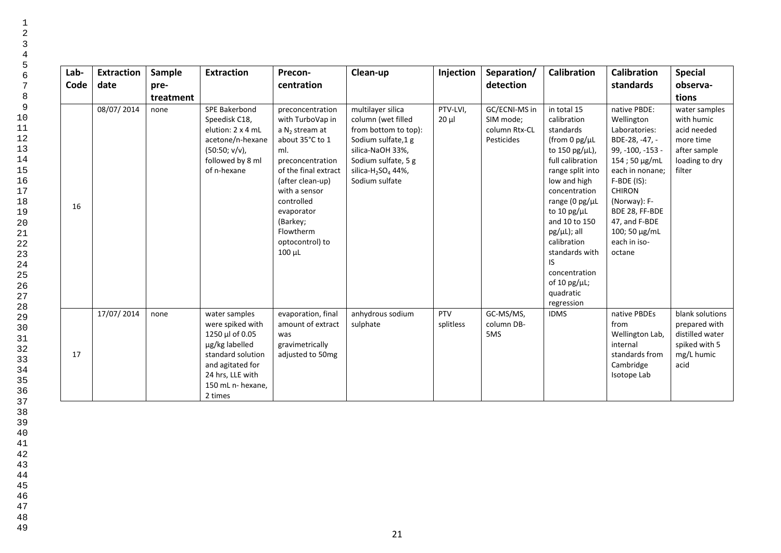| Lab-<br>Code | <b>Extraction</b><br>date | Sample<br>pre-<br>treatment | <b>Extraction</b>                                                                                                                                                   | Precon-<br>centration                                                                                                                                                                                                                                      | Clean-up                                                                                                                                                                                          | Injection            | Separation/<br>detection                                  | <b>Calibration</b>                                                                                                                                                                                                                                                                                                                          | <b>Calibration</b><br>standards                                                                                                                                                                                                                       | <b>Special</b><br>observa-<br>tions                                                                 |
|--------------|---------------------------|-----------------------------|---------------------------------------------------------------------------------------------------------------------------------------------------------------------|------------------------------------------------------------------------------------------------------------------------------------------------------------------------------------------------------------------------------------------------------------|---------------------------------------------------------------------------------------------------------------------------------------------------------------------------------------------------|----------------------|-----------------------------------------------------------|---------------------------------------------------------------------------------------------------------------------------------------------------------------------------------------------------------------------------------------------------------------------------------------------------------------------------------------------|-------------------------------------------------------------------------------------------------------------------------------------------------------------------------------------------------------------------------------------------------------|-----------------------------------------------------------------------------------------------------|
| 16           | 08/07/2014                | none                        | SPE Bakerbond<br>Speedisk C18,<br>elution: 2 x 4 mL<br>acetone/n-hexane<br>$(50:50; v/v)$ ,<br>followed by 8 ml<br>of n-hexane                                      | preconcentration<br>with TurboVap in<br>a $N2$ stream at<br>about 35°C to 1<br>ml.<br>preconcentration<br>of the final extract<br>(after clean-up)<br>with a sensor<br>controlled<br>evaporator<br>(Barkey;<br>Flowtherm<br>optocontrol) to<br>$100 \mu L$ | multilayer silica<br>column (wet filled<br>from bottom to top):<br>Sodium sulfate, 1 g<br>silica-NaOH 33%,<br>Sodium sulfate, 5 g<br>silica-H <sub>2</sub> SO <sub>4</sub> 44%,<br>Sodium sulfate | PTV-LVI,<br>$20 \mu$ | GC/ECNI-MS in<br>SIM mode;<br>column Rtx-CL<br>Pesticides | in total 15<br>calibration<br>standards<br>(from 0 pg/µL<br>to 150 pg/ $\mu$ L),<br>full calibration<br>range split into<br>low and high<br>concentration<br>range (0 pg/µL<br>to 10 pg/ $\mu$ L<br>and 10 to 150<br>$pg/µL);$ all<br>calibration<br>standards with<br>IS<br>concentration<br>of 10 pg/ $\mu$ L;<br>quadratic<br>regression | native PBDE:<br>Wellington<br>Laboratories:<br>BDE-28, -47, -<br>99, -100, -153 -<br>154; 50 µg/mL<br>each in nonane;<br>$F-BDE$ (IS):<br><b>CHIRON</b><br>(Norway): F-<br>BDE 28, FF-BDE<br>47, and F-BDE<br>100; 50 μg/mL<br>each in iso-<br>octane | water samples<br>with humic<br>acid needed<br>more time<br>after sample<br>loading to dry<br>filter |
| 17           | 17/07/2014                | none                        | water samples<br>were spiked with<br>1250 µl of 0.05<br>µg/kg labelled<br>standard solution<br>and agitated for<br>24 hrs, LLE with<br>150 mL n- hexane,<br>2 times | evaporation, final<br>amount of extract<br>was<br>gravimetrically<br>adjusted to 50mg                                                                                                                                                                      | anhydrous sodium<br>sulphate                                                                                                                                                                      | PTV<br>splitless     | GC-MS/MS,<br>column DB-<br>5MS                            | <b>IDMS</b>                                                                                                                                                                                                                                                                                                                                 | native PBDEs<br>from<br>Wellington Lab,<br>internal<br>standards from<br>Cambridge<br>Isotope Lab                                                                                                                                                     | blank solutions<br>prepared with<br>distilled water<br>spiked with 5<br>mg/L humic<br>acid          |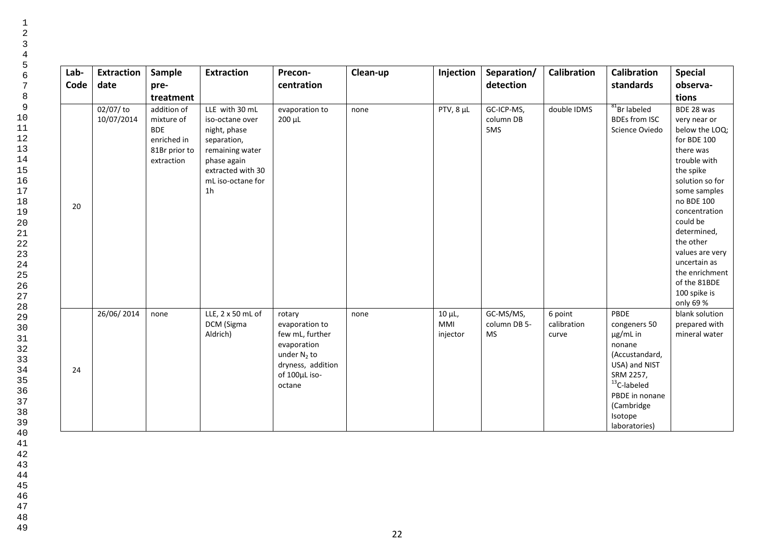| Lab-<br>Code | <b>Extraction</b><br>date | Sample<br>pre-                                                                                     | <b>Extraction</b>                                                                                                                                              | Precon-<br>centration                                                                                                        | Clean-up | Injection                            | Separation/<br>detection               | <b>Calibration</b>              | <b>Calibration</b><br>standards                                                                                                                                          | <b>Special</b><br>observa-<br>tions                                                                                                                                                                                                                                                                               |
|--------------|---------------------------|----------------------------------------------------------------------------------------------------|----------------------------------------------------------------------------------------------------------------------------------------------------------------|------------------------------------------------------------------------------------------------------------------------------|----------|--------------------------------------|----------------------------------------|---------------------------------|--------------------------------------------------------------------------------------------------------------------------------------------------------------------------|-------------------------------------------------------------------------------------------------------------------------------------------------------------------------------------------------------------------------------------------------------------------------------------------------------------------|
| 20           | $02/07/$ to<br>10/07/2014 | treatment<br>addition of<br>mixture of<br><b>BDE</b><br>enriched in<br>81Br prior to<br>extraction | LLE with 30 mL<br>iso-octane over<br>night, phase<br>separation,<br>remaining water<br>phase again<br>extracted with 30<br>mL iso-octane for<br>1 <sub>h</sub> | evaporation to<br>$200 \mu L$                                                                                                | none     | $PTV, 8 \mu L$                       | GC-ICP-MS,<br>column DB<br>5MS         | double IDMS                     | $81$ Br labeled<br><b>BDEs from ISC</b><br>Science Oviedo                                                                                                                | BDE 28 was<br>very near or<br>below the LOQ;<br>for BDE 100<br>there was<br>trouble with<br>the spike<br>solution so for<br>some samples<br>no BDE 100<br>concentration<br>could be<br>determined,<br>the other<br>values are very<br>uncertain as<br>the enrichment<br>of the 81BDE<br>100 spike is<br>only 69 % |
| 24           | 26/06/2014                | none                                                                                               | LLE, 2 x 50 mL of<br>DCM (Sigma<br>Aldrich)                                                                                                                    | rotary<br>evaporation to<br>few mL, further<br>evaporation<br>under $N_2$ to<br>dryness, addition<br>of 100µL iso-<br>octane | none     | $10 \mu L$<br><b>MMI</b><br>injector | GC-MS/MS,<br>column DB 5-<br><b>MS</b> | 6 point<br>calibration<br>curve | PBDE<br>congeners 50<br>μg/mL in<br>nonane<br>(Accustandard,<br>USA) and NIST<br>SRM 2257,<br>$13$ C-labeled<br>PBDE in nonane<br>(Cambridge<br>Isotope<br>laboratories) | blank solution<br>prepared with<br>mineral water                                                                                                                                                                                                                                                                  |

49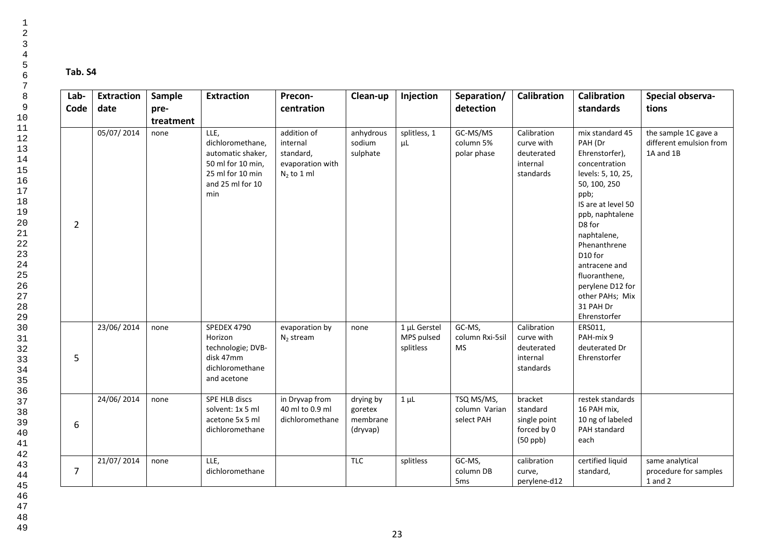# **Tab. S4**

| Lab-<br>Code   | <b>Extraction</b><br>date | Sample<br>pre-<br>treatment | <b>Extraction</b>                                                                                                 | Precon-<br>centration                                                     | Clean-up                                     | Injection                               | Separation/<br>detection                  | <b>Calibration</b>                                               | Calibration<br>standards                                                                                                                                                                                                                                                                                       | Special observa-<br>tions                                    |
|----------------|---------------------------|-----------------------------|-------------------------------------------------------------------------------------------------------------------|---------------------------------------------------------------------------|----------------------------------------------|-----------------------------------------|-------------------------------------------|------------------------------------------------------------------|----------------------------------------------------------------------------------------------------------------------------------------------------------------------------------------------------------------------------------------------------------------------------------------------------------------|--------------------------------------------------------------|
| 2              | 05/07/2014                | none                        | LLE,<br>dichloromethane.<br>automatic shaker,<br>50 ml for 10 min,<br>25 ml for 10 min<br>and 25 ml for 10<br>min | addition of<br>internal<br>standard,<br>evaporation with<br>$N_2$ to 1 ml | anhydrous<br>sodium<br>sulphate              | splitless, 1<br>μL                      | GC-MS/MS<br>column 5%<br>polar phase      | Calibration<br>curve with<br>deuterated<br>internal<br>standards | mix standard 45<br>PAH (Dr<br>Ehrenstorfer),<br>concentration<br>levels: 5, 10, 25,<br>50, 100, 250<br>ppb;<br>IS are at level 50<br>ppb, naphtalene<br>D8 for<br>naphtalene,<br>Phenanthrene<br>D10 for<br>antracene and<br>fluoranthene,<br>perylene D12 for<br>other PAHs; Mix<br>31 PAH Dr<br>Ehrenstorfer | the sample 1C gave a<br>different emulsion from<br>1A and 1B |
| 5              | 23/06/2014                | none                        | SPEDEX 4790<br>Horizon<br>technologie; DVB-<br>disk 47mm<br>dichloromethane<br>and acetone                        | evaporation by<br>$N_2$ stream                                            | none                                         | 1 µL Gerstel<br>MPS pulsed<br>splitless | GC-MS,<br>column Rxi-5sil<br><b>MS</b>    | Calibration<br>curve with<br>deuterated<br>internal<br>standards | ERS011,<br>PAH-mix 9<br>deuterated Dr<br>Ehrenstorfer                                                                                                                                                                                                                                                          |                                                              |
| 6              | 24/06/2014                | none                        | SPE HLB discs<br>solvent: 1x 5 ml<br>acetone 5x 5 ml<br>dichloromethane                                           | in Dryvap from<br>40 ml to 0.9 ml<br>dichloromethane                      | drying by<br>goretex<br>membrane<br>(dryvap) | $1 \mu L$                               | TSQ MS/MS,<br>column Varian<br>select PAH | bracket<br>standard<br>single point<br>forced by 0<br>$(50$ ppb) | restek standards<br>16 PAH mix,<br>10 ng of labeled<br>PAH standard<br>each                                                                                                                                                                                                                                    |                                                              |
| $\overline{7}$ | 21/07/2014                | none                        | LLE,<br>dichloromethane                                                                                           |                                                                           | <b>TLC</b>                                   | splitless                               | GC-MS,<br>column DB<br>5 <sub>ms</sub>    | calibration<br>curve,<br>perylene-d12                            | certified liquid<br>standard,                                                                                                                                                                                                                                                                                  | same analytical<br>procedure for samples<br>1 and 2          |

44 45 46

47  $48$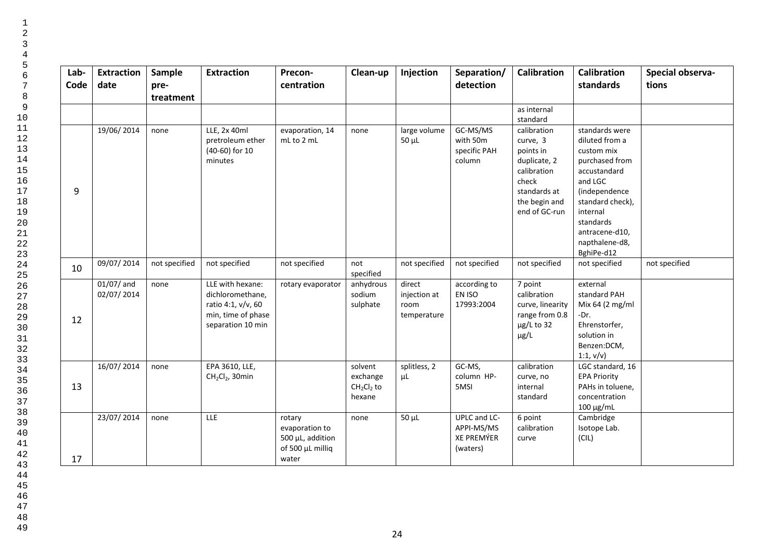| Lab-<br>Code | <b>Extraction</b><br>date  | Sample<br>pre-<br>treatment | <b>Extraction</b>                                                                                     | Precon-<br>centration                                                     | Clean-up                                     | Injection                                     | Separation/<br>detection                             | <b>Calibration</b>                                                                                                             | <b>Calibration</b><br>standards                                                                                                                                                                             | Special observa-<br>tions |
|--------------|----------------------------|-----------------------------|-------------------------------------------------------------------------------------------------------|---------------------------------------------------------------------------|----------------------------------------------|-----------------------------------------------|------------------------------------------------------|--------------------------------------------------------------------------------------------------------------------------------|-------------------------------------------------------------------------------------------------------------------------------------------------------------------------------------------------------------|---------------------------|
|              |                            |                             |                                                                                                       |                                                                           |                                              |                                               |                                                      | as internal<br>standard                                                                                                        |                                                                                                                                                                                                             |                           |
| 9            | 19/06/2014                 | none                        | LLE, 2x 40ml<br>pretroleum ether<br>(40-60) for 10<br>minutes                                         | evaporation, 14<br>mL to 2 mL                                             | none                                         | large volume<br>$50 \mu L$                    | GC-MS/MS<br>with 50m<br>specific PAH<br>column       | calibration<br>curve, 3<br>points in<br>duplicate, 2<br>calibration<br>check<br>standards at<br>the begin and<br>end of GC-run | standards were<br>diluted from a<br>custom mix<br>purchased from<br>accustandard<br>and LGC<br>(independence<br>standard check),<br>internal<br>standards<br>antracene-d10,<br>napthalene-d8,<br>BghiPe-d12 |                           |
| 10           | 09/07/2014                 | not specified               | not specified                                                                                         | not specified                                                             | not<br>specified                             | not specified                                 | not specified                                        | not specified                                                                                                                  | not specified                                                                                                                                                                                               | not specified             |
| 12           | $01/07/$ and<br>02/07/2014 | none                        | LLE with hexane:<br>dichloromethane,<br>ratio 4:1, v/v, 60<br>min, time of phase<br>separation 10 min | rotary evaporator                                                         | anhydrous<br>sodium<br>sulphate              | direct<br>injection at<br>room<br>temperature | according to<br>EN ISO<br>17993:2004                 | 7 point<br>calibration<br>curve, linearity<br>range from 0.8<br>$\mu$ g/L to 32<br>$\mu$ g/L                                   | external<br>standard PAH<br>Mix 64 (2 mg/ml<br>$-Dr.$<br>Ehrenstorfer,<br>solution in<br>Benzen:DCM,<br>1:1, v/v                                                                                            |                           |
| 13           | 16/07/2014                 | none                        | EPA 3610, LLE,<br>$CH2Cl2$ , 30min                                                                    |                                                                           | solvent<br>exchange<br>$CH2Cl2$ to<br>hexane | splitless, 2<br>μL                            | GC-MS,<br>column HP-<br>5MSI                         | calibration<br>curve, no<br>internal<br>standard                                                                               | LGC standard, 16<br><b>EPA Priority</b><br>PAHs in toluene,<br>concentration<br>$100 \mu g/mL$                                                                                                              |                           |
| 17           | 23/07/2014                 | none                        | LLE                                                                                                   | rotary<br>evaporation to<br>500 µL, addition<br>of 500 µL milliq<br>water | none                                         | $50 \mu L$                                    | UPLC and LC-<br>APPI-MS/MS<br>XE PREMÝER<br>(waters) | 6 point<br>calibration<br>curve                                                                                                | Cambridge<br>Isotope Lab.<br>(CIL)                                                                                                                                                                          |                           |

 1 2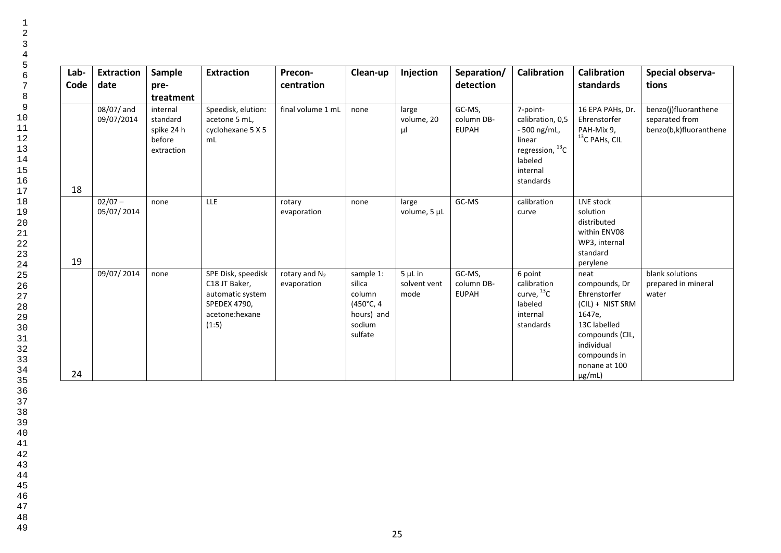| Lab-<br>Code | <b>Extraction</b><br>date | Sample<br>pre-<br>treatment                                | <b>Extraction</b>                                                                                  | Precon-<br>centration           | Clean-up                                                                      | Injection                            | Separation/<br>detection             | <b>Calibration</b>                                                                                                  | <b>Calibration</b><br>standards                                                                                                                                      | Special observa-<br>tions                                        |
|--------------|---------------------------|------------------------------------------------------------|----------------------------------------------------------------------------------------------------|---------------------------------|-------------------------------------------------------------------------------|--------------------------------------|--------------------------------------|---------------------------------------------------------------------------------------------------------------------|----------------------------------------------------------------------------------------------------------------------------------------------------------------------|------------------------------------------------------------------|
| 18           | 08/07/ and<br>09/07/2014  | internal<br>standard<br>spike 24 h<br>before<br>extraction | Speedisk, elution:<br>acetone 5 mL,<br>cyclohexane 5 X 5<br>mL                                     | final volume 1 mL               | none                                                                          | large<br>volume, 20<br>μl            | GC-MS,<br>column DB-<br><b>EUPAH</b> | 7-point-<br>calibration, 0,5<br>- 500 ng/mL,<br>linear<br>regression, $^{13}$ C<br>labeled<br>internal<br>standards | 16 EPA PAHs, Dr.<br>Ehrenstorfer<br>PAH-Mix 9,<br>$13$ C PAHs, CIL                                                                                                   | benzo(j)fluoranthene<br>separated from<br>benzo(b,k)fluoranthene |
| 19           | $02/07 -$<br>05/07/2014   | none                                                       | LLE                                                                                                | rotary<br>evaporation           | none                                                                          | large<br>volume, 5 µL                | GC-MS                                | calibration<br>curve                                                                                                | LNE stock<br>solution<br>distributed<br>within ENV08<br>WP3, internal<br>standard<br>perylene                                                                        |                                                                  |
| 24           | 09/07/2014                | none                                                       | SPE Disk, speedisk<br>C18 JT Baker,<br>automatic system<br>SPEDEX 4790,<br>acetone:hexane<br>(1:5) | rotary and $N_2$<br>evaporation | sample 1:<br>silica<br>column<br>(450°C, 4<br>hours) and<br>sodium<br>sulfate | $5 \mu L$ in<br>solvent vent<br>mode | GC-MS,<br>column DB-<br><b>EUPAH</b> | 6 point<br>calibration<br>curve, $^{13}$ C<br>labeled<br>internal<br>standards                                      | neat<br>compounds, Dr<br>Ehrenstorfer<br>(CIL) + NIST SRM<br>1647e,<br>13C labelled<br>compounds (CIL,<br>individual<br>compounds in<br>nonane at 100<br>$\mu$ g/mL) | blank solutions<br>prepared in mineral<br>water                  |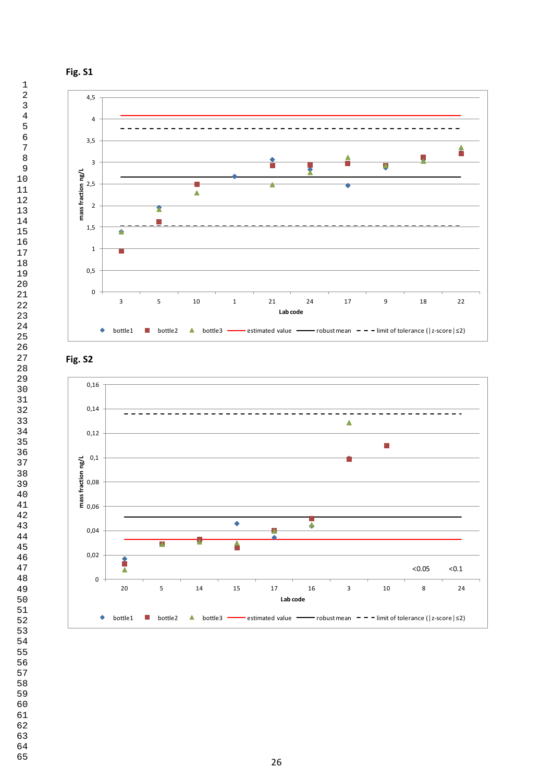





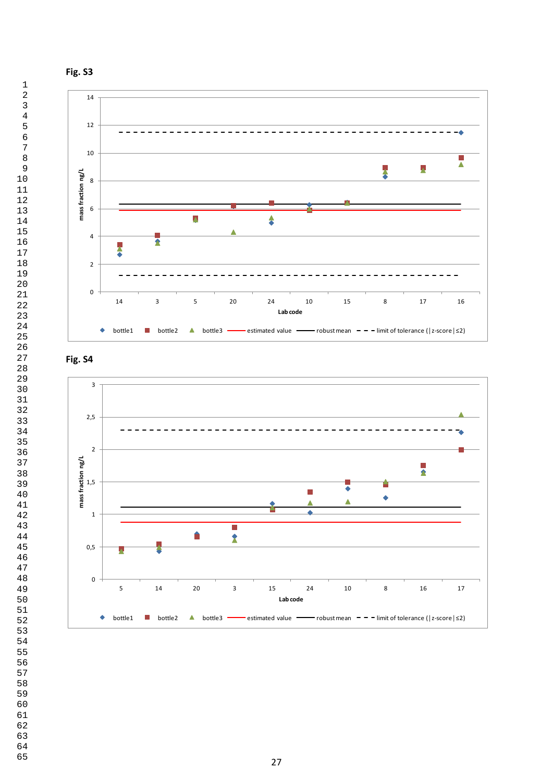





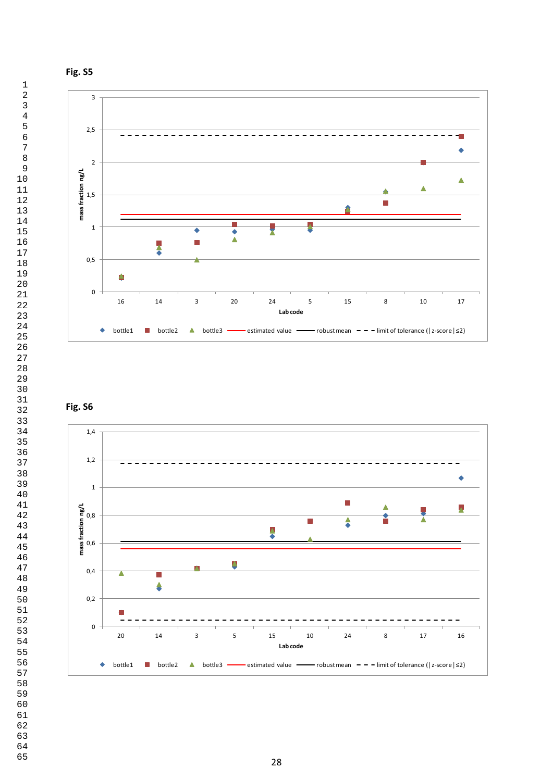





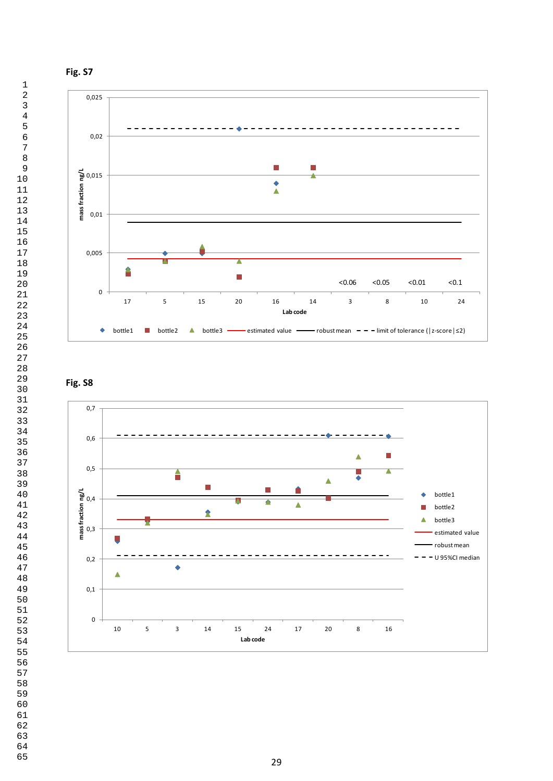



# **Fig. S8**

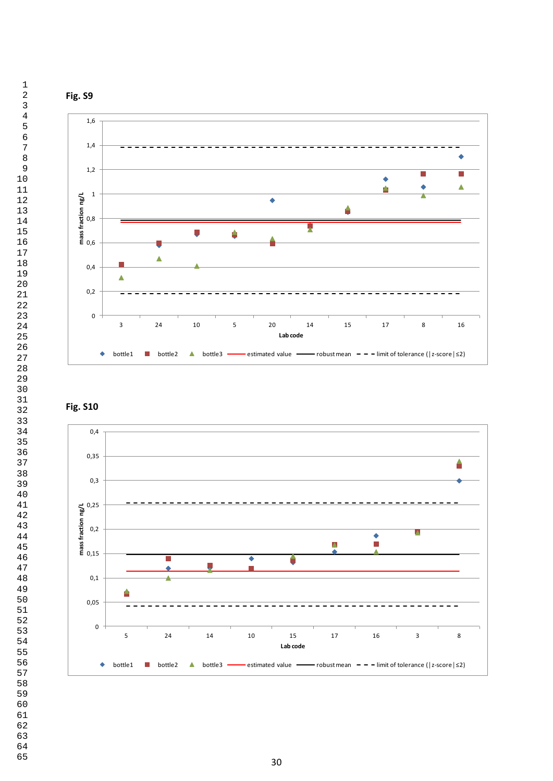





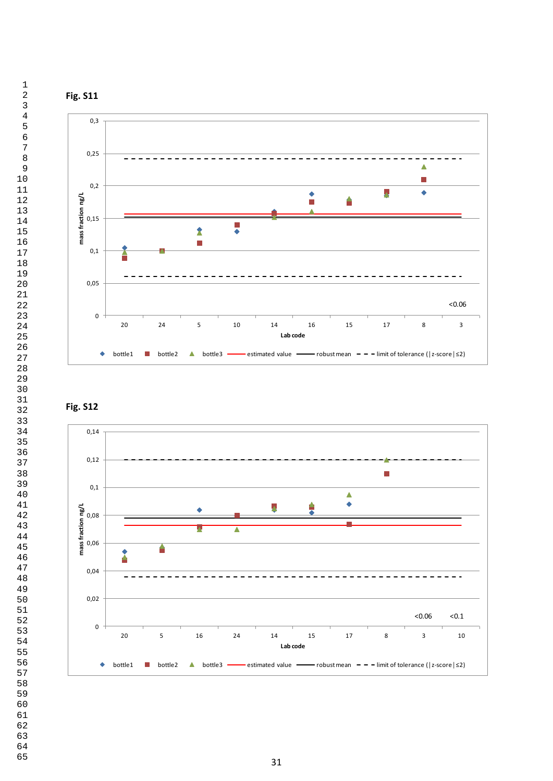



**Fig. S12**

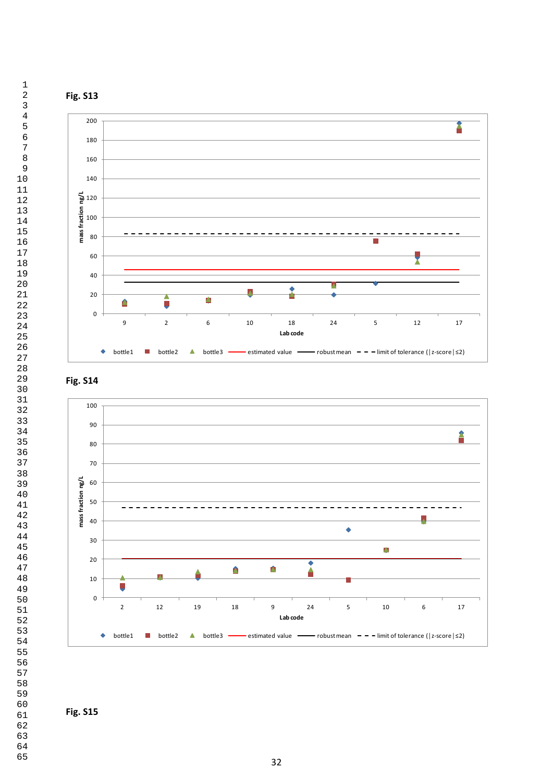







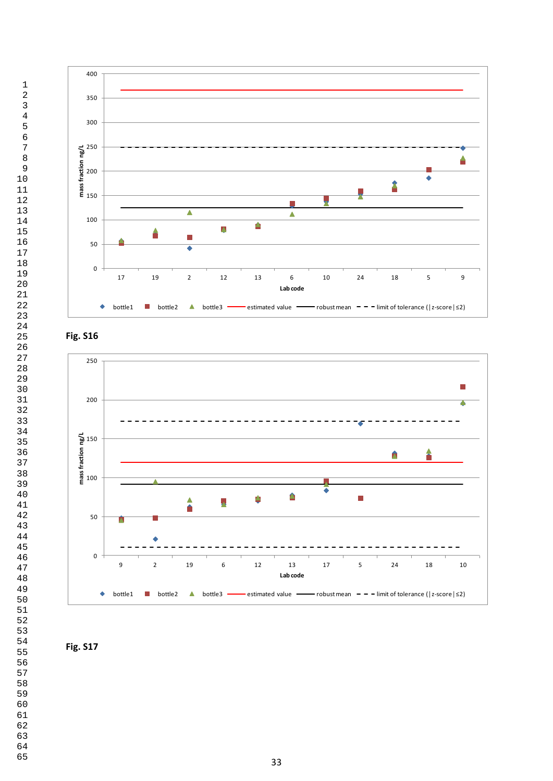





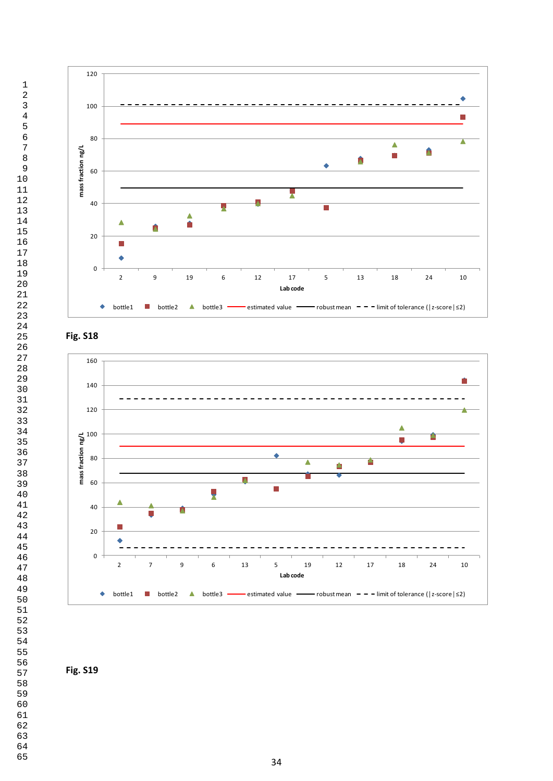





**Fig. S19**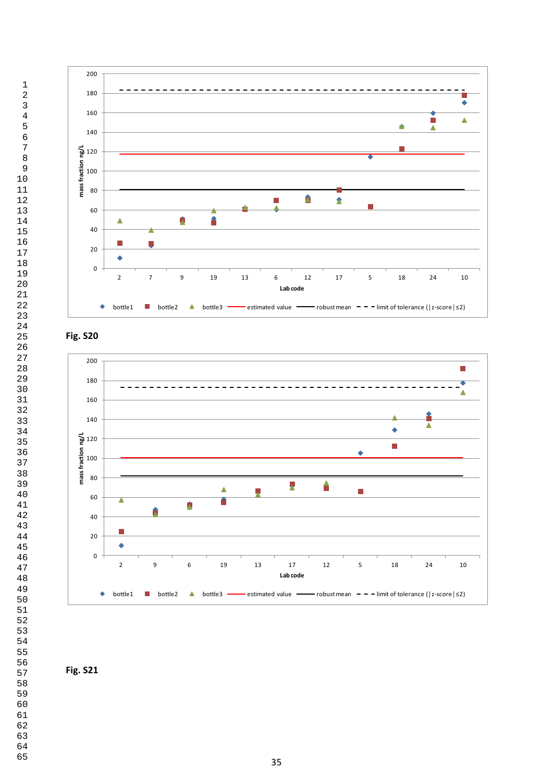





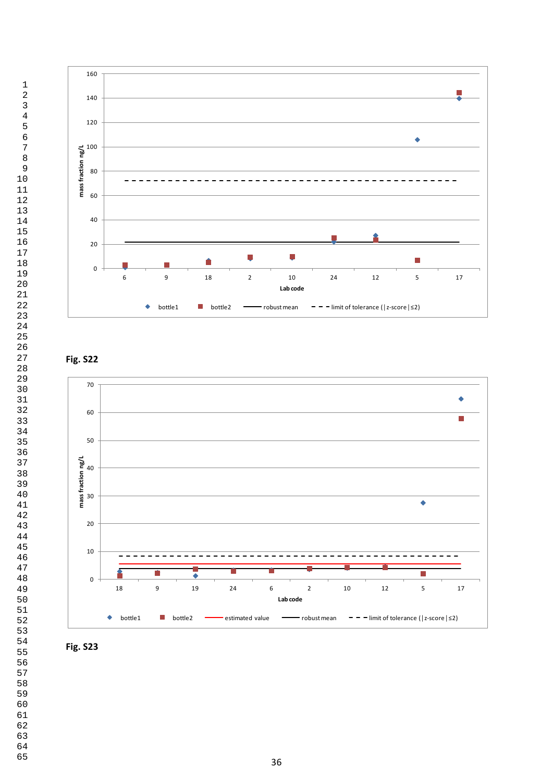

## **Fig. S22**



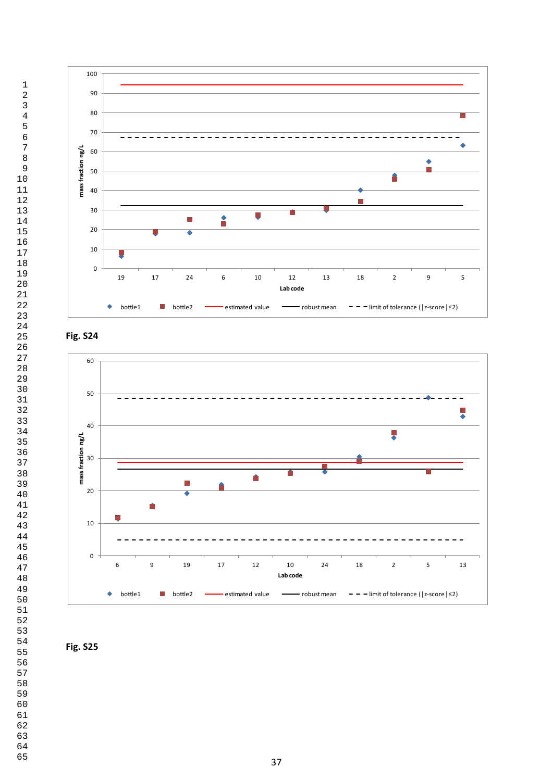





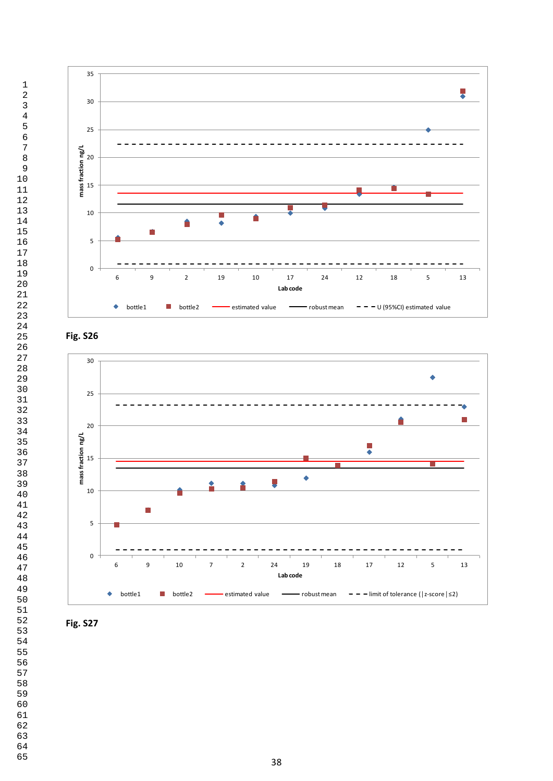





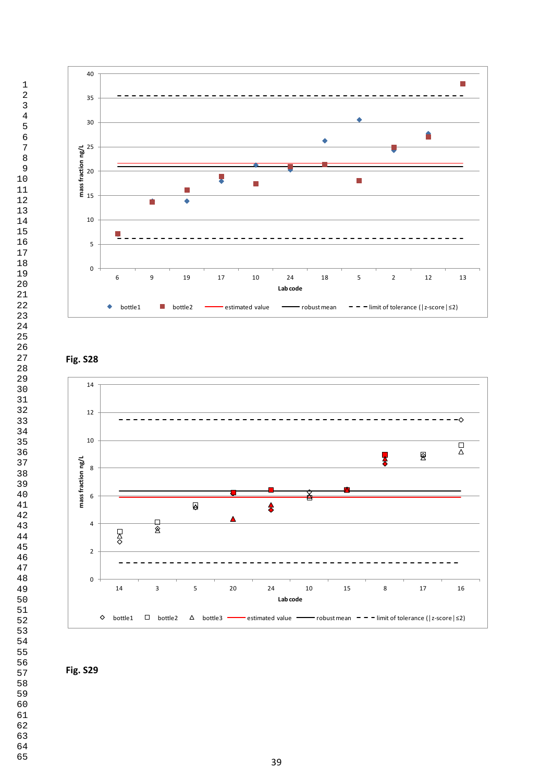

## **Fig. S28**



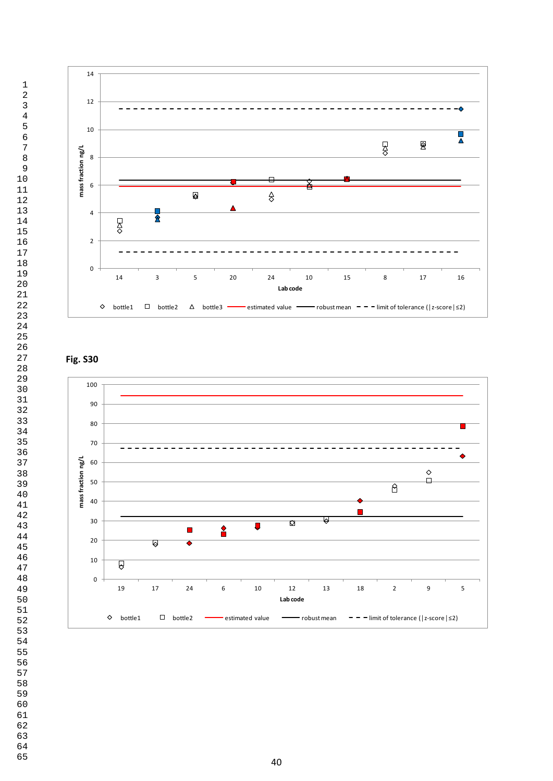

# **Fig. S30**

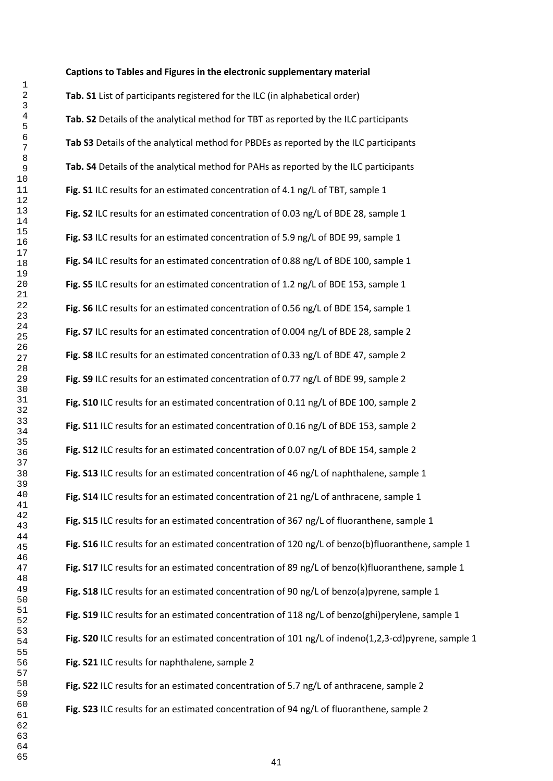#### **Captions to Tables and Figures in the electronic supplementary material**

**Tab. S1** List of participants registered for the ILC (in alphabetical order) **Tab. S2** Details of the analytical method for TBT as reported by the ILC participants **Tab S3** Details of the analytical method for PBDEs as reported by the ILC participants **Tab. S4** Details of the analytical method for PAHs as reported by the ILC participants **Fig. S1** ILC results for an estimated concentration of 4.1 ng/L of TBT, sample 1 **Fig. S2** ILC results for an estimated concentration of 0.03 ng/L of BDE 28, sample 1 **Fig. S3** ILC results for an estimated concentration of 5.9 ng/L of BDE 99, sample 1 **Fig. S4** ILC results for an estimated concentration of 0.88 ng/L of BDE 100, sample 1 **Fig. S5** ILC results for an estimated concentration of 1.2 ng/L of BDE 153, sample 1 **Fig. S6** ILC results for an estimated concentration of 0.56 ng/L of BDE 154, sample 1 **Fig. S7** ILC results for an estimated concentration of 0.004 ng/L of BDE 28, sample 2 **Fig. S8** ILC results for an estimated concentration of 0.33 ng/L of BDE 47, sample 2 **Fig. S9** ILC results for an estimated concentration of 0.77 ng/L of BDE 99, sample 2 **Fig. S10** ILC results for an estimated concentration of 0.11 ng/L of BDE 100, sample 2 **Fig. S11** ILC results for an estimated concentration of 0.16 ng/L of BDE 153, sample 2 **Fig. S12** ILC results for an estimated concentration of 0.07 ng/L of BDE 154, sample 2 **Fig. S13** ILC results for an estimated concentration of 46 ng/L of naphthalene, sample 1 **Fig. S14** ILC results for an estimated concentration of 21 ng/L of anthracene, sample 1 **Fig. S15** ILC results for an estimated concentration of 367 ng/L of fluoranthene, sample 1 **Fig. S16** ILC results for an estimated concentration of 120 ng/L of benzo(b)fluoranthene, sample 1 **Fig. S17** ILC results for an estimated concentration of 89 ng/L of benzo(k)fluoranthene, sample 1 **Fig. S18** ILC results for an estimated concentration of 90 ng/L of benzo(a)pyrene, sample 1 **Fig. S19** ILC results for an estimated concentration of 118 ng/L of benzo(ghi)perylene, sample 1 **Fig. S20** ILC results for an estimated concentration of 101 ng/L of indeno(1,2,3-cd)pyrene, sample 1 **Fig. S21** ILC results for naphthalene, sample 2 **Fig. S22** ILC results for an estimated concentration of 5.7 ng/L of anthracene, sample 2

**Fig. S23** ILC results for an estimated concentration of 94 ng/L of fluoranthene, sample 2